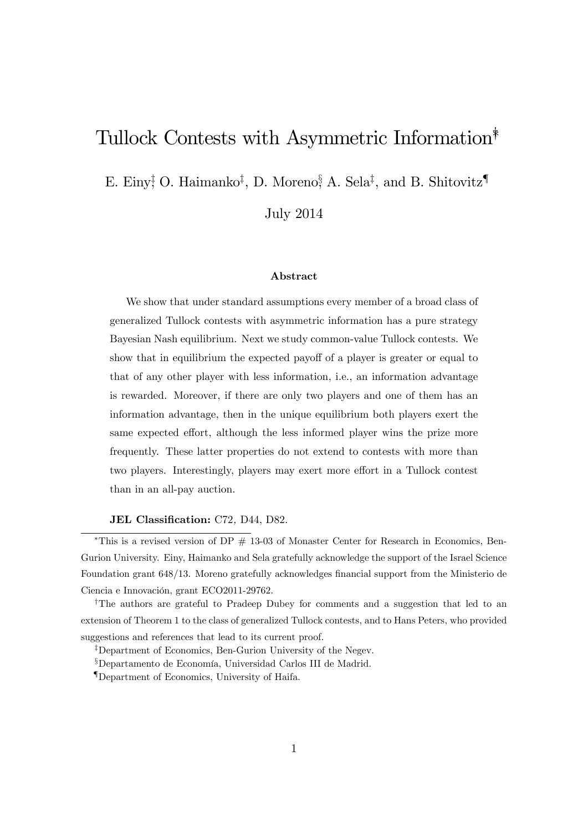## Tullock Contests with Asymmetric Information<sup>\*</sup>

E. Einy<sup>†</sup> O. Haimanko<sup>‡</sup>, D. Moreno<sup>§</sup> A. Sela<sup>‡</sup>, and B. Shitovitz<sup>¶</sup>

July 2014

#### Abstract

We show that under standard assumptions every member of a broad class of generalized Tullock contests with asymmetric information has a pure strategy Bayesian Nash equilibrium. Next we study common-value Tullock contests. We show that in equilibrium the expected payoff of a player is greater or equal to that of any other player with less information, i.e., an information advantage is rewarded. Moreover, if there are only two players and one of them has an information advantage, then in the unique equilibrium both players exert the same expected effort, although the less informed player wins the prize more frequently. These latter properties do not extend to contests with more than two players. Interestingly, players may exert more effort in a Tullock contest than in an all-pay auction.

### JEL Classification: C72, D44, D82.

\*This is a revised version of DP  $# 13-03$  of Monaster Center for Research in Economics, Ben-Gurion University. Einy, Haimanko and Sela gratefully acknowledge the support of the Israel Science Foundation grant 648/13. Moreno gratefully acknowledges financial support from the Ministerio de Ciencia e Innovación, grant ECO2011-29762.

<sup>†</sup>The authors are grateful to Pradeep Dubey for comments and a suggestion that led to an extension of Theorem 1 to the class of generalized Tullock contests, and to Hans Peters, who provided suggestions and references that lead to its current proof.

<sup>‡</sup>Department of Economics, Ben-Gurion University of the Negev.

<sup>§</sup>Departamento de Economía, Universidad Carlos III de Madrid.

{Department of Economics, University of Haifa.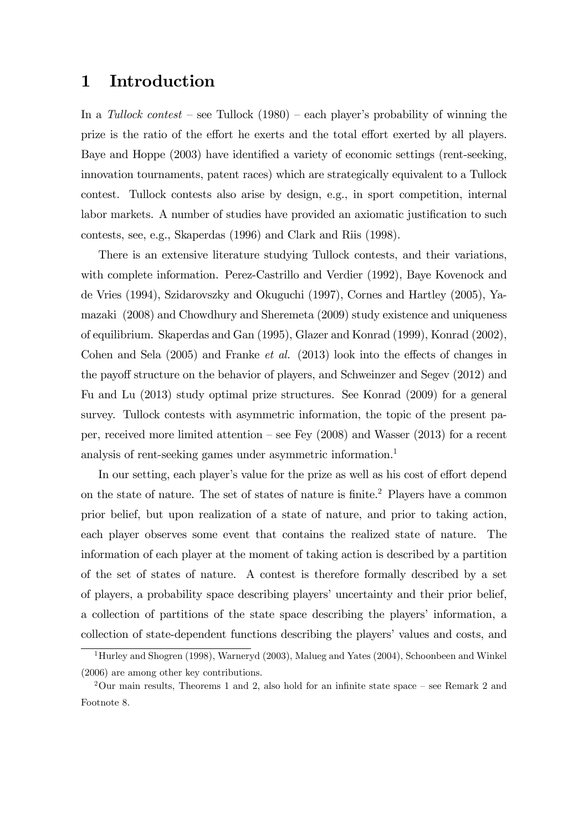### 1 Introduction

In a Tullock contest – see Tullock (1980) – each player's probability of winning the prize is the ratio of the effort he exerts and the total effort exerted by all players. Baye and Hoppe (2003) have identified a variety of economic settings (rent-seeking, innovation tournaments, patent races) which are strategically equivalent to a Tullock contest. Tullock contests also arise by design, e.g., in sport competition, internal labor markets. A number of studies have provided an axiomatic justification to such contests, see, e.g., Skaperdas (1996) and Clark and Riis (1998).

There is an extensive literature studying Tullock contests, and their variations, with complete information. Perez-Castrillo and Verdier (1992), Baye Kovenock and de Vries (1994), Szidarovszky and Okuguchi (1997), Cornes and Hartley (2005), Yamazaki (2008) and Chowdhury and Sheremeta (2009) study existence and uniqueness of equilibrium. Skaperdas and Gan (1995), Glazer and Konrad (1999), Konrad (2002), Cohen and Sela  $(2005)$  and Franke *et al.*  $(2013)$  look into the effects of changes in the payoff structure on the behavior of players, and Schweinzer and Segev (2012) and Fu and Lu (2013) study optimal prize structures. See Konrad (2009) for a general survey. Tullock contests with asymmetric information, the topic of the present paper, received more limited attention  $\sim$  see Fey (2008) and Wasser (2013) for a recent analysis of rent-seeking games under asymmetric information.<sup>1</sup>

In our setting, each player's value for the prize as well as his cost of effort depend on the state of nature. The set of states of nature is finite.<sup>2</sup> Players have a common prior belief, but upon realization of a state of nature, and prior to taking action, each player observes some event that contains the realized state of nature. The information of each player at the moment of taking action is described by a partition of the set of states of nature. A contest is therefore formally described by a set of players, a probability space describing players' uncertainty and their prior belief, a collection of partitions of the state space describing the players' information, a collection of state-dependent functions describing the players' values and costs, and

<sup>&</sup>lt;sup>1</sup>Hurley and Shogren (1998), Warneryd (2003), Malueg and Yates (2004), Schoonbeen and Winkel (2006) are among other key contributions.

 $2$ Our main results, Theorems 1 and 2, also hold for an infinite state space – see Remark 2 and Footnote 8.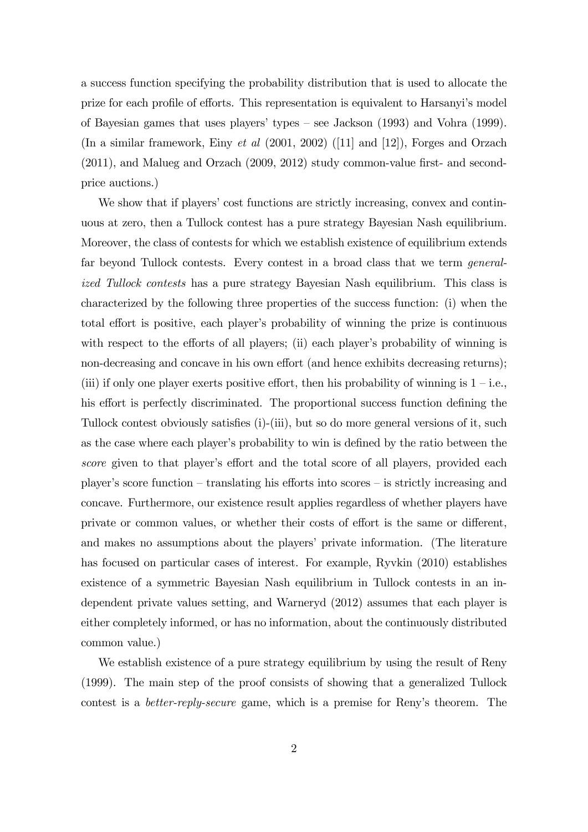a success function specifying the probability distribution that is used to allocate the prize for each profile of efforts. This representation is equivalent to Harsanyi's model of Bayesian games that uses players' types  $-$  see Jackson (1993) and Vohra (1999). (In a similar framework, Einy et al (2001, 2002) ([11] and [12]), Forges and Orzach  $(2011)$ , and Malueg and Orzach  $(2009, 2012)$  study common-value first- and secondprice auctions.)

We show that if players' cost functions are strictly increasing, convex and continuous at zero, then a Tullock contest has a pure strategy Bayesian Nash equilibrium. Moreover, the class of contests for which we establish existence of equilibrium extends far beyond Tullock contests. Every contest in a broad class that we term generalized Tullock contests has a pure strategy Bayesian Nash equilibrium. This class is characterized by the following three properties of the success function: (i) when the total effort is positive, each player's probability of winning the prize is continuous with respect to the efforts of all players; (ii) each player's probability of winning is non-decreasing and concave in his own effort (and hence exhibits decreasing returns); (iii) if only one player exerts positive effort, then his probability of winning is  $1 - i.e.,$ his effort is perfectly discriminated. The proportional success function defining the Tullock contest obviously satisfies (i)-(iii), but so do more general versions of it, such as the case where each player's probability to win is defined by the ratio between the score given to that player's effort and the total score of all players, provided each player's score function  $-$  translating his efforts into scores  $-$  is strictly increasing and concave. Furthermore, our existence result applies regardless of whether players have private or common values, or whether their costs of effort is the same or different, and makes no assumptions about the players' private information. (The literature has focused on particular cases of interest. For example, Ryvkin (2010) establishes existence of a symmetric Bayesian Nash equilibrium in Tullock contests in an independent private values setting, and Warneryd (2012) assumes that each player is either completely informed, or has no information, about the continuously distributed common value.)

We establish existence of a pure strategy equilibrium by using the result of Reny (1999). The main step of the proof consists of showing that a generalized Tullock contest is a *better-reply-secure* game, which is a premise for Reny's theorem. The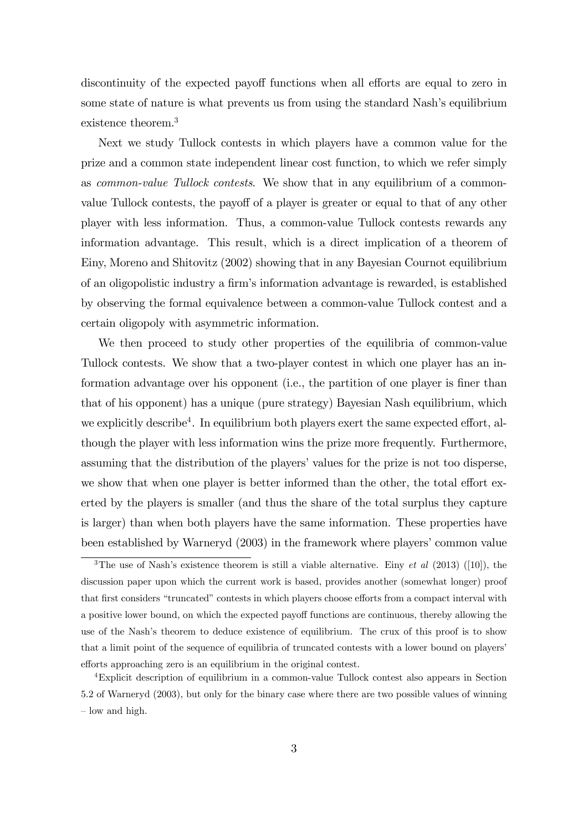discontinuity of the expected payoff functions when all efforts are equal to zero in some state of nature is what prevents us from using the standard Nash's equilibrium existence theorem.<sup>3</sup>

Next we study Tullock contests in which players have a common value for the prize and a common state independent linear cost function, to which we refer simply as common-value Tullock contests. We show that in any equilibrium of a commonvalue Tullock contests, the payoff of a player is greater or equal to that of any other player with less information. Thus, a common-value Tullock contests rewards any information advantage. This result, which is a direct implication of a theorem of Einy, Moreno and Shitovitz (2002) showing that in any Bayesian Cournot equilibrium of an oligopolistic industry a Örmís information advantage is rewarded, is established by observing the formal equivalence between a common-value Tullock contest and a certain oligopoly with asymmetric information.

We then proceed to study other properties of the equilibria of common-value Tullock contests. We show that a two-player contest in which one player has an information advantage over his opponent (i.e., the partition of one player is finer than that of his opponent) has a unique (pure strategy) Bayesian Nash equilibrium, which we explicitly describe<sup>4</sup>. In equilibrium both players exert the same expected effort, although the player with less information wins the prize more frequently. Furthermore, assuming that the distribution of the players' values for the prize is not too disperse, we show that when one player is better informed than the other, the total effort exerted by the players is smaller (and thus the share of the total surplus they capture is larger) than when both players have the same information. These properties have been established by Warneryd (2003) in the framework where players' common value

<sup>&</sup>lt;sup>3</sup>The use of Nash's existence theorem is still a viable alternative. Einy *et al* (2013) ([10]), the discussion paper upon which the current work is based, provides another (somewhat longer) proof that first considers "truncated" contests in which players choose efforts from a compact interval with a positive lower bound, on which the expected payoff functions are continuous, thereby allowing the use of the Nash's theorem to deduce existence of equilibrium. The crux of this proof is to show that a limit point of the sequence of equilibria of truncated contests with a lower bound on players' efforts approaching zero is an equilibrium in the original contest.

<sup>4</sup>Explicit description of equilibrium in a common-value Tullock contest also appears in Section 5.2 of Warneryd (2003), but only for the binary case where there are two possible values of winning  $\sim$  low and high.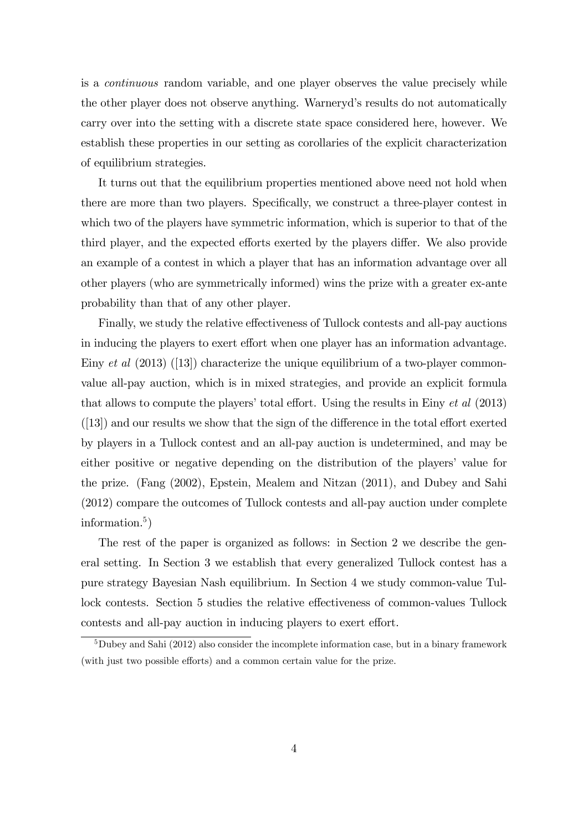is a continuous random variable, and one player observes the value precisely while the other player does not observe anything. Warneryd's results do not automatically carry over into the setting with a discrete state space considered here, however. We establish these properties in our setting as corollaries of the explicit characterization of equilibrium strategies.

It turns out that the equilibrium properties mentioned above need not hold when there are more than two players. Specifically, we construct a three-player contest in which two of the players have symmetric information, which is superior to that of the third player, and the expected efforts exerted by the players differ. We also provide an example of a contest in which a player that has an information advantage over all other players (who are symmetrically informed) wins the prize with a greater ex-ante probability than that of any other player.

Finally, we study the relative effectiveness of Tullock contests and all-pay auctions in inducing the players to exert effort when one player has an information advantage. Einy *et al*  $(2013)$  ([13]) characterize the unique equilibrium of a two-player commonvalue all-pay auction, which is in mixed strategies, and provide an explicit formula that allows to compute the players' total effort. Using the results in Einy  $et$  al (2013)  $([13])$  and our results we show that the sign of the difference in the total effort exerted by players in a Tullock contest and an all-pay auction is undetermined, and may be either positive or negative depending on the distribution of the players' value for the prize. (Fang (2002), Epstein, Mealem and Nitzan (2011), and Dubey and Sahi (2012) compare the outcomes of Tullock contests and all-pay auction under complete information.<sup>5</sup> )

The rest of the paper is organized as follows: in Section 2 we describe the general setting. In Section 3 we establish that every generalized Tullock contest has a pure strategy Bayesian Nash equilibrium. In Section 4 we study common-value Tullock contests. Section 5 studies the relative effectiveness of common-values Tullock contests and all-pay auction in inducing players to exert effort.

 $5$ Dubey and Sahi (2012) also consider the incomplete information case, but in a binary framework (with just two possible efforts) and a common certain value for the prize.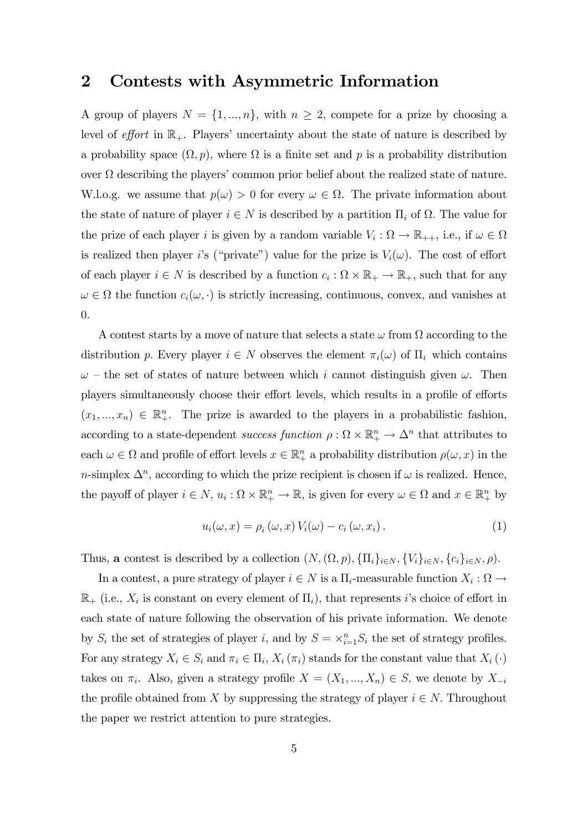### 2 Contests with Asymmetric Information

A group of players  $N = \{1, ..., n\}$ , with  $n \geq 2$ , compete for a prize by choosing a level of effort in  $\mathbb{R}_+$ . Players' uncertainty about the state of nature is described by a probability space  $(\Omega, p)$ , where  $\Omega$  is a finite set and p is a probability distribution over  $\Omega$  describing the players' common prior belief about the realized state of nature. W.l.o.g. we assume that  $p(\omega) > 0$  for every  $\omega \in \Omega$ . The private information about the state of nature of player  $i \in N$  is described by a partition  $\Pi_i$  of  $\Omega$ . The value for the prize of each player *i* is given by a random variable  $V_i : \Omega \to \mathbb{R}_{++}$ , i.e., if  $\omega \in \Omega$ is realized then player i's ("private") value for the prize is  $V_i(\omega)$ . The cost of effort of each player  $i \in N$  is described by a function  $c_i : \Omega \times \mathbb{R}_+ \to \mathbb{R}_+$ , such that for any  $\omega \in \Omega$  the function  $c_i(\omega, \cdot)$  is strictly increasing, continuous, convex, and vanishes at 0.

A contest starts by a move of nature that selects a state  $\omega$  from  $\Omega$  according to the distribution p. Every player  $i \in N$  observes the element  $\pi_i(\omega)$  of  $\Pi_i$  which contains  $\omega$  – the set of states of nature between which i cannot distinguish given  $\omega$ . Then players simultaneously choose their effort levels, which results in a profile of efforts  $(x_1, ..., x_n) \in \mathbb{R}^n_+$ . The prize is awarded to the players in a probabilistic fashion, according to a state-dependent success function  $\rho : \Omega \times \mathbb{R}^n_+ \to \Delta^n$  that attributes to each  $\omega \in \Omega$  and profile of effort levels  $x \in \mathbb{R}^n_+$  a probability distribution  $\rho(\omega, x)$  in the *n*-simplex  $\Delta^n$ , according to which the prize recipient is chosen if  $\omega$  is realized. Hence, the payoff of player  $i \in N$ ,  $u_i : \Omega \times \mathbb{R}^n_+ \to \mathbb{R}$ , is given for every  $\omega \in \Omega$  and  $x \in \mathbb{R}^n_+$  by

$$
u_i(\omega, x) = \rho_i(\omega, x) V_i(\omega) - c_i(\omega, x_i).
$$
 (1)

Thus, **a** contest is described by a collection  $(N, (\Omega, p), \{\Pi_i\}_{i \in N}, \{V_i\}_{i \in N}, \{c_i\}_{i \in N}, \rho)$ .

In a contest, a pure strategy of player  $i \in N$  is a  $\Pi_i$ -measurable function  $X_i : \Omega \to$  $\mathbb{R}_+$  (i.e.,  $X_i$  is constant on every element of  $\Pi_i$ ), that represents *i*'s choice of effort in each state of nature following the observation of his private information. We denote by  $S_i$  the set of strategies of player i, and by  $S = \times_{i=1}^n S_i$  the set of strategy profiles. For any strategy  $X_i \in S_i$  and  $\pi_i \in \Pi_i$ ,  $X_i(\pi_i)$  stands for the constant value that  $X_i(\cdot)$ takes on  $\pi_i$ . Also, given a strategy profile  $X = (X_1, ..., X_n) \in S$ , we denote by  $X_{-i}$ the profile obtained from X by suppressing the strategy of player  $i \in N$ . Throughout the paper we restrict attention to pure strategies.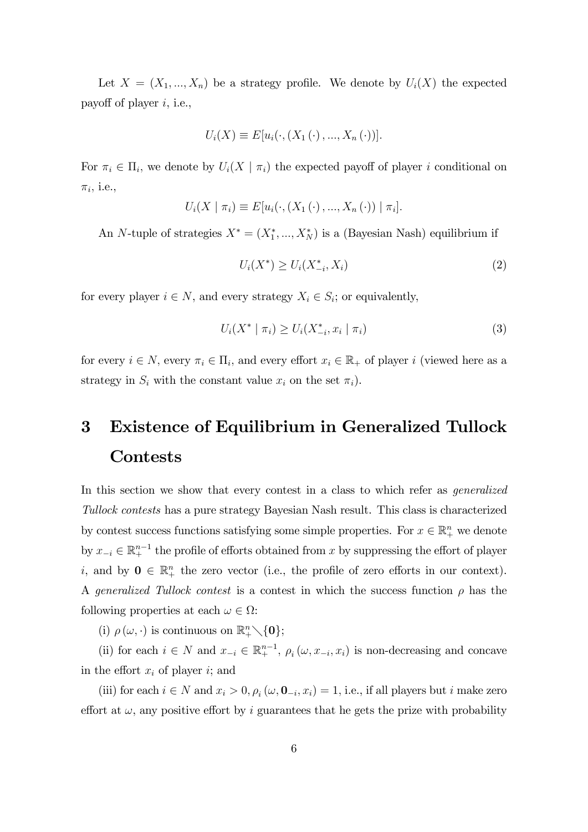Let  $X = (X_1, ..., X_n)$  be a strategy profile. We denote by  $U_i(X)$  the expected payoff of player  $i$ , i.e.,

$$
U_i(X) \equiv E[u_i(\cdot, (X_1(\cdot), ..., X_n(\cdot))].
$$

For  $\pi_i \in \Pi_i$ , we denote by  $U_i(X \mid \pi_i)$  the expected payoff of player i conditional on  $\pi_i$ , i.e.,

$$
U_i(X \mid \pi_i) \equiv E[u_i(\cdot, (X_1(\cdot), ..., X_n(\cdot)) \mid \pi_i].
$$

An N-tuple of strategies  $X^* = (X_1^*, ..., X_N^*)$  is a (Bayesian Nash) equilibrium if

$$
U_i(X^*) \ge U_i(X_{-i}^*, X_i)
$$
\n(2)

for every player  $i \in N$ , and every strategy  $X_i \in S_i$ ; or equivalently,

$$
U_i(X^* \mid \pi_i) \ge U_i(X_{-i}^*, x_i \mid \pi_i)
$$
\n(3)

for every  $i \in N$ , every  $\pi_i \in \Pi_i$ , and every effort  $x_i \in \mathbb{R}_+$  of player i (viewed here as a strategy in  $S_i$  with the constant value  $x_i$  on the set  $\pi_i$ ).

# 3 Existence of Equilibrium in Generalized Tullock **Contests**

In this section we show that every contest in a class to which refer as generalized Tullock contests has a pure strategy Bayesian Nash result. This class is characterized by contest success functions satisfying some simple properties. For  $x \in \mathbb{R}^n_+$  we denote by  $x_{-i} \in \mathbb{R}^{n-1}_+$  the profile of efforts obtained from x by suppressing the effort of player *i*, and by  $0 \in \mathbb{R}^n_+$  the zero vector (i.e., the profile of zero efforts in our context). A generalized Tullock contest is a contest in which the success function  $\rho$  has the following properties at each  $\omega \in \Omega$ :

(i)  $\rho(\omega, \cdot)$  is continuous on  $\mathbb{R}^n_+\setminus\{0\};$ 

(ii) for each  $i \in N$  and  $x_{-i} \in \mathbb{R}^{n-1}_+$ ,  $\rho_i(\omega, x_{-i}, x_i)$  is non-decreasing and concave in the effort  $x_i$  of player i; and

(iii) for each  $i \in N$  and  $x_i > 0, \rho_i(\omega, \mathbf{0}_{-i}, x_i) = 1$ , i.e., if all players but i make zero effort at  $\omega$ , any positive effort by i guarantees that he gets the prize with probability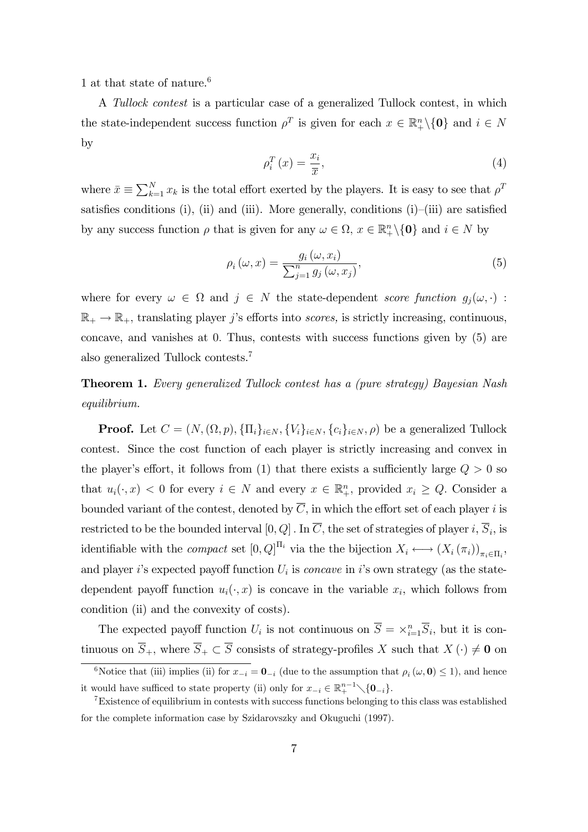1 at that state of nature.<sup>6</sup>

A Tullock contest is a particular case of a generalized Tullock contest, in which the state-independent success function  $\rho^T$  is given for each  $x \in \mathbb{R}^n_+\setminus\{0\}$  and  $i \in N$ by

$$
\rho_i^T(x) = \frac{x_i}{\overline{x}},\tag{4}
$$

where  $\bar{x} \equiv \sum_{k=1}^{N} x_k$  is the total effort exerted by the players. It is easy to see that  $\rho^T$ satisfies conditions (i), (ii) and (iii). More generally, conditions (i)–(iii) are satisfied by any success function  $\rho$  that is given for any  $\omega \in \Omega$ ,  $x \in \mathbb{R}^n_+\setminus\{0\}$  and  $i \in N$  by

$$
\rho_i(\omega, x) = \frac{g_i(\omega, x_i)}{\sum_{j=1}^n g_j(\omega, x_j)},\tag{5}
$$

where for every  $\omega \in \Omega$  and  $j \in N$  the state-dependent score function  $g_j(\omega, \cdot)$ :  $\mathbb{R}_+ \to \mathbb{R}_+$ , translating player j's efforts into scores, is strictly increasing, continuous, concave, and vanishes at 0: Thus, contests with success functions given by (5) are also generalized Tullock contests.<sup>7</sup>

Theorem 1. Every generalized Tullock contest has a (pure strategy) Bayesian Nash equilibrium.

**Proof.** Let  $C = (N, (\Omega, p), \{\Pi_i\}_{i \in N}, \{V_i\}_{i \in N}, \{c_i\}_{i \in N}, \rho)$  be a generalized Tullock contest. Since the cost function of each player is strictly increasing and convex in the player's effort, it follows from (1) that there exists a sufficiently large  $Q > 0$  so that  $u_i(\cdot, x) < 0$  for every  $i \in N$  and every  $x \in \mathbb{R}^n_+$ , provided  $x_i \ge Q$ . Consider a bounded variant of the contest, denoted by  $\overline{C}$ , in which the effort set of each player i is restricted to be the bounded interval  $[0, Q]$  . In C, the set of strategies of player i,  $S_i$ , is identifiable with the *compact* set  $[0, Q]^{H_i}$  via the the bijection  $X_i \longleftrightarrow (X_i(\pi_i))_{\pi_i \in \Pi_i}$ , and player i's expected payoff function  $U_i$  is *concave* in i's own strategy (as the statedependent payoff function  $u_i(\cdot, x)$  is concave in the variable  $x_i$ , which follows from condition (ii) and the convexity of costs).

The expected payoff function  $U_i$  is not continuous on  $\overline{S} = \times_{i=1}^n \overline{S}_i$ , but it is continuous on  $\overline{S}_+$ , where  $\overline{S}_+ \subset \overline{S}$  consists of strategy-profiles X such that  $X(\cdot) \neq \mathbf{0}$  on

<sup>&</sup>lt;sup>6</sup>Notice that (iii) implies (ii) for  $x_{-i} = 0_{-i}$  (due to the assumption that  $\rho_i(\omega, 0) \le 1$ ), and hence it would have sufficed to state property (ii) only for  $x_{-i} \in \mathbb{R}^{n-1}_{+} \setminus \{0_{-i}\}.$ 

<sup>7</sup>Existence of equilibrium in contests with success functions belonging to this class was established for the complete information case by Szidarovszky and Okuguchi (1997).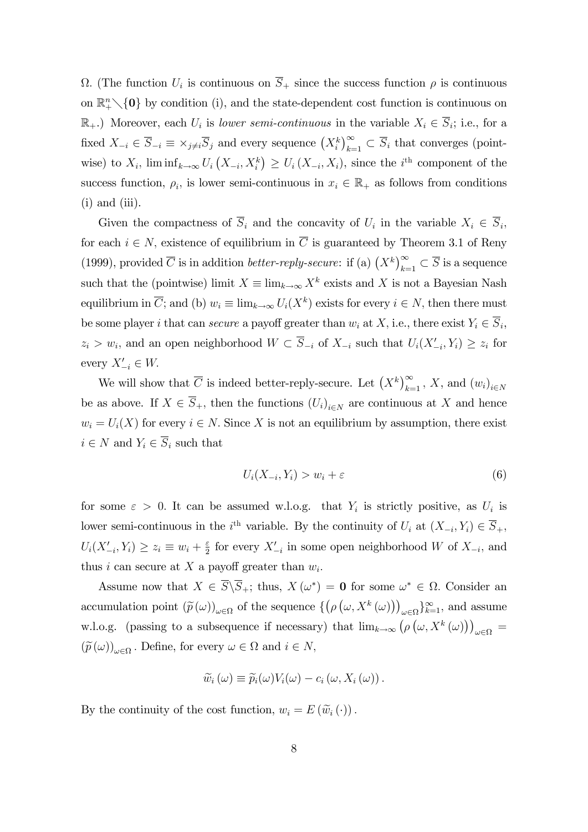$\Omega$ . (The function  $U_i$  is continuous on  $S_+$  since the success function  $\rho$  is continuous on  $\mathbb{R}^n_+\setminus\{0\}$  by condition (i), and the state-dependent cost function is continuous on  $\mathbb{R}_+$ .) Moreover, each  $U_i$  is lower semi-continuous in the variable  $X_i \in S_i$ ; i.e., for a fixed  $X_{-i} \in \overline{S}_{-i} \equiv \times_{j \neq i} \overline{S}_j$  and every sequence  $(X_i^k)_{k=1}^{\infty} \subset \overline{S}_i$  that converges (pointwise) to  $X_i$ ,  $\liminf_{k\to\infty} U_i\left(X_{-i}, X_i^k\right) \geq U_i\left(X_{-i}, X_i\right)$ , since the  $i^{\text{th}}$  component of the success function,  $\rho_i$ , is lower semi-continuous in  $x_i \in \mathbb{R}_+$  as follows from conditions  $(i)$  and  $(iii)$ .

Given the compactness of  $S_i$  and the concavity of  $U_i$  in the variable  $X_i \in S_i$ , for each  $i \in N$ , existence of equilibrium in  $\overline{C}$  is guaranteed by Theorem 3.1 of Reny (1999), provided  $\overline{C}$  is in addition *better-reply-secure*: if (a)  $(X^k)_{k=1}^{\infty} \subset \overline{S}$  is a sequence such that the (pointwise) limit  $X \equiv \lim_{k \to \infty} X^k$  exists and X is not a Bayesian Nash equilibrium in  $\overline{C}$ ; and (b)  $w_i \equiv \lim_{k \to \infty} U_i(X^k)$  exists for every  $i \in N$ , then there must be some player *i* that can *secure* a payoff greater than  $w_i$  at  $X$ , i.e., there exist  $Y_i \in S_i$ ,  $z_i > w_i$ , and an open neighborhood  $W \subset S_{-i}$  of  $X_{-i}$  such that  $U_i(X'_{-i}, Y_i) \geq z_i$  for every  $X'_{-i} \in W$ .

We will show that  $\overline{C}$  is indeed better-reply-secure. Let  $(X^k)_{k=1}^{\infty}$ , X, and  $(w_i)_{i\in N}$ be as above. If  $X \in S_+$ , then the functions  $(U_i)_{i \in N}$  are continuous at X and hence  $w_i = U_i(X)$  for every  $i \in N$ . Since X is not an equilibrium by assumption, there exist  $i \in N$  and  $Y_i \in \overline{S}_i$  such that

$$
U_i(X_{-i}, Y_i) > w_i + \varepsilon \tag{6}
$$

for some  $\varepsilon > 0$ . It can be assumed w.l.o.g. that  $Y_i$  is strictly positive, as  $U_i$  is lower semi-continuous in the *i*<sup>th</sup> variable. By the continuity of  $U_i$  at  $(X_{-i}, Y_i) \in \overline{S}_+$ ,  $U_i(X'_{-i}, Y_i) \geq z_i \equiv w_i + \frac{\varepsilon}{2}$  $\frac{\varepsilon}{2}$  for every  $X'_{-i}$  in some open neighborhood W of  $X_{-i}$ , and thus *i* can secure at X a payoff greater than  $w_i$ .

Assume now that  $X \in S \backslash S_+$ ; thus,  $X(\omega^*) = \mathbf{0}$  for some  $\omega^* \in \Omega$ . Consider an accumulation point  $(\widetilde{p}(\omega))_{\omega \in \Omega}$  of the sequence  $\{(\rho(\omega, X^k(\omega)))\}$  $_{\omega \in \Omega} \}_{k=1}^{\infty}$ , and assume w.l.o.g. (passing to a subsequence if necessary) that  $\lim_{k\to\infty} (\rho(\omega, X^k(\omega)))$  $\int \omega \in \Omega$  =  $(\widetilde{p}(\omega))_{\omega \in \Omega}$ . Define, for every  $\omega \in \Omega$  and  $i \in N$ ,

$$
\widetilde{w}_i(\omega) \equiv \widetilde{p}_i(\omega) V_i(\omega) - c_i(\omega, X_i(\omega)).
$$

By the continuity of the cost function,  $w_i = E(\widetilde{w}_i(\cdot)).$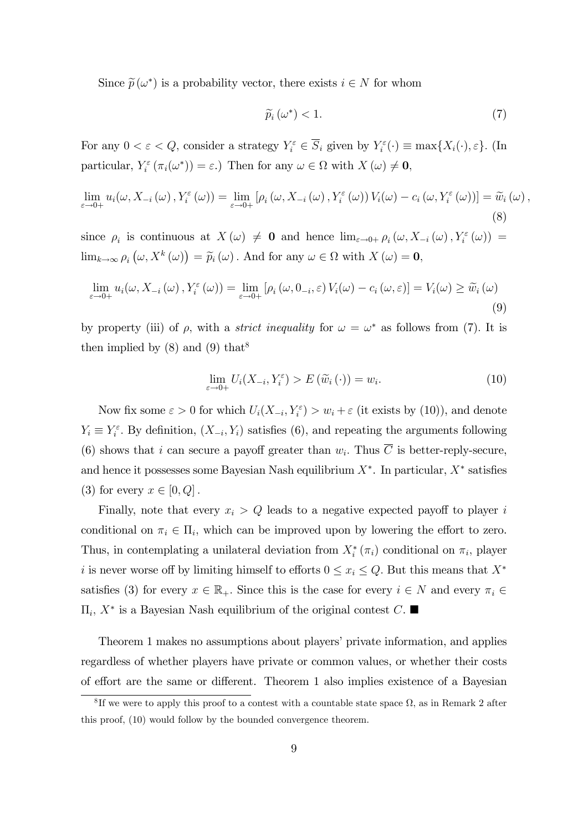Since  $\widetilde{p}(\omega^*)$  is a probability vector, there exists  $i \in N$  for whom

$$
\widetilde{p}_i\left(\omega^*\right) < 1. \tag{7}
$$

For any  $0 < \varepsilon < Q$ , consider a strategy  $Y_i^{\varepsilon} \in \overline{S}_i$  given by  $Y_i^{\varepsilon}(\cdot) \equiv \max\{X_i(\cdot), \varepsilon\}$ . (In particular,  $Y_i^{\varepsilon}(\pi_i(\omega^*)) = \varepsilon$ .) Then for any  $\omega \in \Omega$  with  $X(\omega) \neq \mathbf{0}$ ,

$$
\lim_{\varepsilon \to 0+} u_i(\omega, X_{-i}(\omega), Y_i^{\varepsilon}(\omega)) = \lim_{\varepsilon \to 0+} \left[ \rho_i(\omega, X_{-i}(\omega), Y_i^{\varepsilon}(\omega)) V_i(\omega) - c_i(\omega, Y_i^{\varepsilon}(\omega)) \right] = \widetilde{w}_i(\omega),
$$
\n(8)

since  $\rho_i$  is continuous at  $X(\omega) \neq 0$  and hence  $\lim_{\varepsilon \to 0+} \rho_i(\omega, X_{-i}(\omega), Y_i^{\varepsilon}(\omega)) =$  $\lim_{k\to\infty}\rho_i\left(\omega,X^k\left(\omega\right)\right)=\widetilde{p}_i\left(\omega\right)$ . And for any  $\omega\in\Omega$  with  $X\left(\omega\right)=\mathbf{0}$ ,

$$
\lim_{\varepsilon \to 0+} u_i(\omega, X_{-i}(\omega), Y_i^{\varepsilon}(\omega)) = \lim_{\varepsilon \to 0+} \left[ \rho_i(\omega, 0_{-i}, \varepsilon) V_i(\omega) - c_i(\omega, \varepsilon) \right] = V_i(\omega) \ge \widetilde{w}_i(\omega)
$$
\n(9)

by property (iii) of  $\rho$ , with a *strict inequality* for  $\omega = \omega^*$  as follows from (7). It is then implied by  $(8)$  and  $(9)$  that<sup>8</sup>

$$
\lim_{\varepsilon \to 0+} U_i(X_{-i}, Y_i^{\varepsilon}) > E(\widetilde{w}_i(\cdot)) = w_i.
$$
\n(10)

Now fix some  $\varepsilon > 0$  for which  $U_i(X_{-i}, Y_i^{\varepsilon}) > w_i + \varepsilon$  (it exists by (10)), and denote  $Y_i \equiv Y_i^{\varepsilon}$ . By definition,  $(X_{-i}, Y_i)$  satisfies (6), and repeating the arguments following (6) shows that i can secure a payoff greater than  $w_i$ . Thus C is better-reply-secure, and hence it possesses some Bayesian Nash equilibrium  $X^*$ . In particular,  $X^*$  satisfies (3) for every  $x \in [0, Q]$ .

Finally, note that every  $x_i > Q$  leads to a negative expected payoff to player i conditional on  $\pi_i \in \Pi_i$ , which can be improved upon by lowering the effort to zero. Thus, in contemplating a unilateral deviation from  $X_i^*$  ( $\pi_i$ ) conditional on  $\pi_i$ , player i is never worse off by limiting himself to efforts  $0 \le x_i \le Q$ . But this means that  $X^*$ satisfies (3) for every  $x \in \mathbb{R}_+$ . Since this is the case for every  $i \in N$  and every  $\pi_i \in$  $\Pi_i$ ,  $X^*$  is a Bayesian Nash equilibrium of the original contest C.

Theorem 1 makes no assumptions about players' private information, and applies regardless of whether players have private or common values, or whether their costs of effort are the same or different. Theorem 1 also implies existence of a Bayesian

<sup>&</sup>lt;sup>8</sup>If we were to apply this proof to a contest with a countable state space  $\Omega$ , as in Remark 2 after this proof, (10) would follow by the bounded convergence theorem.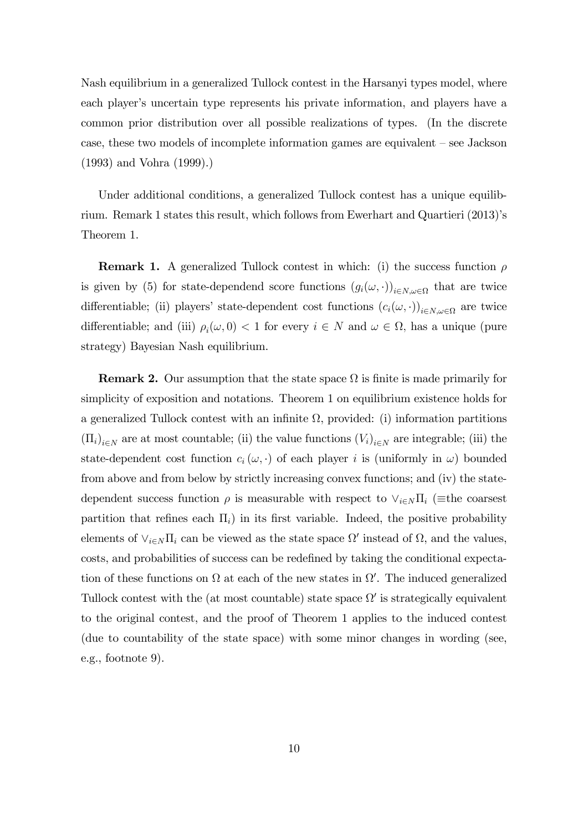Nash equilibrium in a generalized Tullock contest in the Harsanyi types model, where each player's uncertain type represents his private information, and players have a common prior distribution over all possible realizations of types. (In the discrete case, these two models of incomplete information games are equivalent  $-$  see Jackson (1993) and Vohra (1999).)

Under additional conditions, a generalized Tullock contest has a unique equilibrium. Remark 1 states this result, which follows from Ewerhart and Quartieri (2013)ís Theorem 1.

**Remark 1.** A generalized Tullock contest in which: (i) the success function  $\rho$ is given by (5) for state-dependend score functions  $(g_i(\omega, \cdot))_{i \in N, \omega \in \Omega}$  that are twice differentiable; (ii) players' state-dependent cost functions  $(c_i(\omega, \cdot))_{i \in N, \omega \in \Omega}$  are twice differentiable; and (iii)  $\rho_i(\omega, 0) < 1$  for every  $i \in N$  and  $\omega \in \Omega$ , has a unique (pure strategy) Bayesian Nash equilibrium.

**Remark 2.** Our assumption that the state space  $\Omega$  is finite is made primarily for simplicity of exposition and notations. Theorem 1 on equilibrium existence holds for a generalized Tullock contest with an infinite  $\Omega$ , provided: (i) information partitions  $(\Pi_i)_{i \in N}$  are at most countable; (ii) the value functions  $(V_i)_{i \in N}$  are integrable; (iii) the state-dependent cost function  $c_i(\omega, \cdot)$  of each player i is (uniformly in  $\omega$ ) bounded from above and from below by strictly increasing convex functions; and (iv) the statedependent success function  $\rho$  is measurable with respect to  $\vee_{i\in N}\Pi_i$  (= the coarsest partition that refines each  $\Pi_i$ ) in its first variable. Indeed, the positive probability elements of  $\vee_{i\in N}\Pi_i$  can be viewed as the state space  $\Omega'$  instead of  $\Omega$ , and the values, costs, and probabilities of success can be redefined by taking the conditional expectation of these functions on  $\Omega$  at each of the new states in  $\Omega'$ . The induced generalized Tullock contest with the (at most countable) state space  $\Omega'$  is strategically equivalent to the original contest, and the proof of Theorem 1 applies to the induced contest (due to countability of the state space) with some minor changes in wording (see, e.g., footnote 9).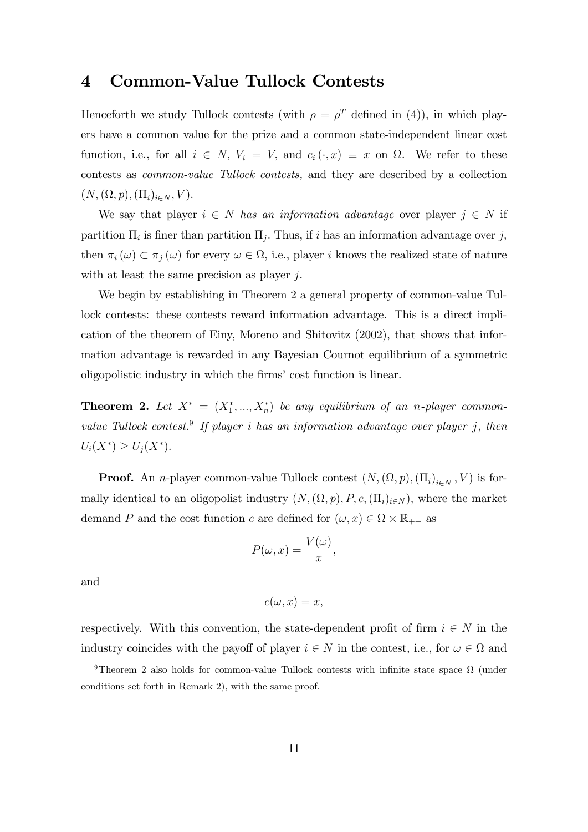### 4 Common-Value Tullock Contests

Henceforth we study Tullock contests (with  $\rho = \rho^T$  defined in (4)), in which players have a common value for the prize and a common state-independent linear cost function, i.e., for all  $i \in N$ ,  $V_i = V$ , and  $c_i (\cdot, x) \equiv x$  on  $\Omega$ . We refer to these contests as common-value Tullock contests, and they are described by a collection  $(N, (\Omega, p), (\Pi_i)_{i \in N}, V).$ 

We say that player  $i \in N$  has an information advantage over player  $j \in N$  if partition  $\Pi_i$  is finer than partition  $\Pi_j$ . Thus, if i has an information advantage over j, then  $\pi_i(\omega) \subset \pi_j(\omega)$  for every  $\omega \in \Omega$ , i.e., player i knows the realized state of nature with at least the same precision as player j.

We begin by establishing in Theorem 2 a general property of common-value Tullock contests: these contests reward information advantage. This is a direct implication of the theorem of Einy, Moreno and Shitovitz (2002), that shows that information advantage is rewarded in any Bayesian Cournot equilibrium of a symmetric oligopolistic industry in which the firms' cost function is linear.

**Theorem 2.** Let  $X^* = (X_1^*,...,X_n^*)$  be any equilibrium of an n-player commonvalue Tullock contest.<sup>9</sup> If player i has an information advantage over player j, then  $U_i(X^*) \ge U_j(X^*).$ 

**Proof.** An *n*-player common-value Tullock contest  $(N, (\Omega, p), (\Pi_i)_{i \in N}, V)$  is formally identical to an oligopolist industry  $(N, (\Omega, p), P, c, (\Pi_i)_{i \in N})$ , where the market demand P and the cost function c are defined for  $(\omega, x) \in \Omega \times \mathbb{R}_{++}$  as

$$
P(\omega, x) = \frac{V(\omega)}{x},
$$

and

$$
c(\omega, x) = x,
$$

respectively. With this convention, the state-dependent profit of firm  $i \in N$  in the industry coincides with the payoff of player  $i \in N$  in the contest, i.e., for  $\omega \in \Omega$  and

<sup>&</sup>lt;sup>9</sup>Theorem 2 also holds for common-value Tullock contests with infinite state space  $\Omega$  (under conditions set forth in Remark 2), with the same proof.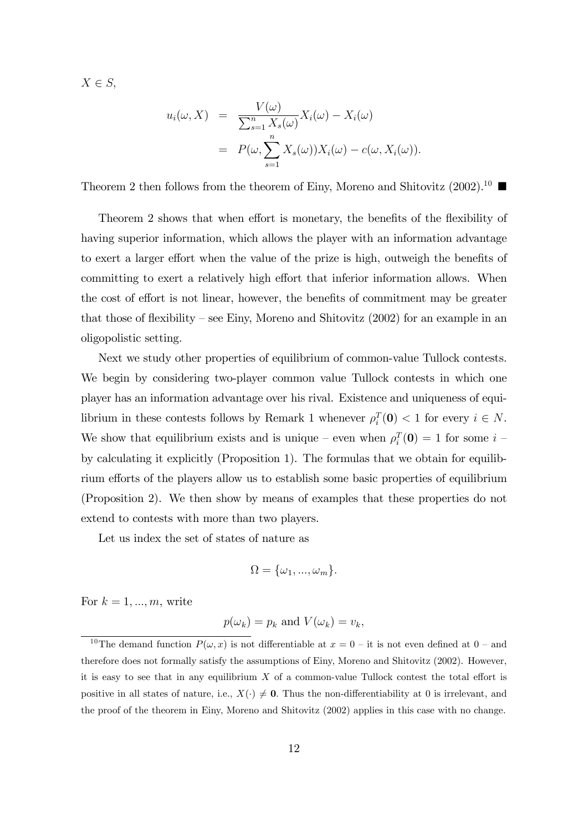$X \in S$ 

$$
u_i(\omega, X) = \frac{V(\omega)}{\sum_{s=1}^n X_s(\omega)} X_i(\omega) - X_i(\omega)
$$
  
= 
$$
P(\omega, \sum_{s=1}^n X_s(\omega)) X_i(\omega) - c(\omega, X_i(\omega)).
$$

Theorem 2 then follows from the theorem of Einy, Moreno and Shitovitz  $(2002)^{10}$ 

Theorem 2 shows that when effort is monetary, the benefits of the flexibility of having superior information, which allows the player with an information advantage to exert a larger effort when the value of the prize is high, outweigh the benefits of committing to exert a relatively high effort that inferior information allows. When the cost of effort is not linear, however, the benefits of commitment may be greater that those of flexibility – see Einy, Moreno and Shitovitz (2002) for an example in an oligopolistic setting.

Next we study other properties of equilibrium of common-value Tullock contests. We begin by considering two-player common value Tullock contests in which one player has an information advantage over his rival. Existence and uniqueness of equilibrium in these contests follows by Remark 1 whenever  $\rho_i^T(\mathbf{0}) < 1$  for every  $i \in N$ . We show that equilibrium exists and is unique – even when  $\rho_i^T(\mathbf{0}) = 1$  for some  $i$  – by calculating it explicitly (Proposition 1). The formulas that we obtain for equilibrium efforts of the players allow us to establish some basic properties of equilibrium (Proposition 2). We then show by means of examples that these properties do not extend to contests with more than two players.

Let us index the set of states of nature as

$$
\Omega = {\omega_1, ..., \omega_m}.
$$

For  $k = 1, ..., m$ , write

$$
p(\omega_k) = p_k
$$
 and  $V(\omega_k) = v_k$ ,

<sup>&</sup>lt;sup>10</sup>The demand function  $P(\omega, x)$  is not differentiable at  $x = 0$  – it is not even defined at  $0$  – and therefore does not formally satisfy the assumptions of Einy, Moreno and Shitovitz (2002). However, it is easy to see that in any equilibrium  $X$  of a common-value Tullock contest the total effort is positive in all states of nature, i.e.,  $X(\cdot) \neq \mathbf{0}$ . Thus the non-differentiability at 0 is irrelevant, and the proof of the theorem in Einy, Moreno and Shitovitz (2002) applies in this case with no change.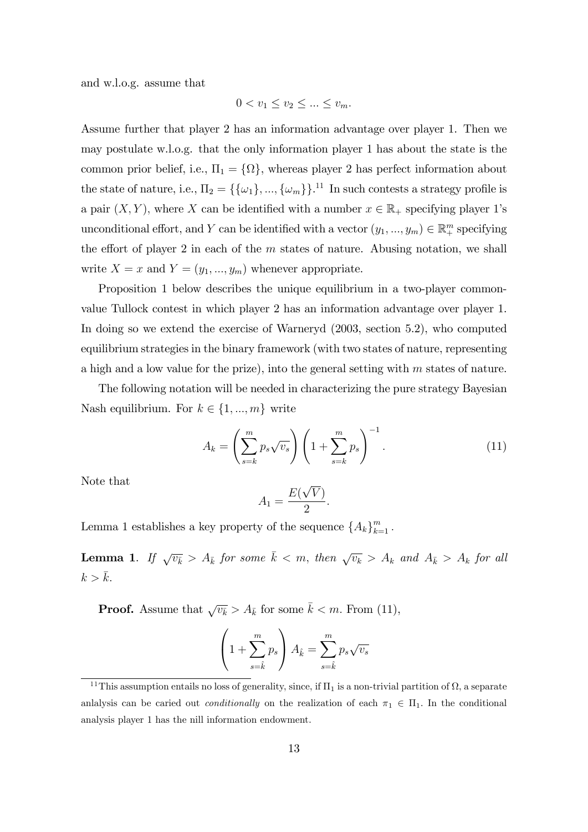and w.l.o.g. assume that

$$
0 < v_1 \le v_2 \le \dots \le v_m.
$$

Assume further that player 2 has an information advantage over player 1. Then we may postulate w.l.o.g. that the only information player 1 has about the state is the common prior belief, i.e.,  $\Pi_1 = {\Omega}$ , whereas player 2 has perfect information about the state of nature, i.e.,  $\Pi_2 = \{\{\omega_1\}, ..., \{\omega_m\}\}.$ <sup>11</sup> In such contests a strategy profile is a pair  $(X, Y)$ , where X can be identified with a number  $x \in \mathbb{R}_+$  specifying player 1's unconditional effort, and Y can be identified with a vector  $(y_1, ..., y_m) \in \mathbb{R}^m_+$  specifying the effort of player 2 in each of the  $m$  states of nature. Abusing notation, we shall write  $X = x$  and  $Y = (y_1, ..., y_m)$  whenever appropriate.

Proposition 1 below describes the unique equilibrium in a two-player commonvalue Tullock contest in which player 2 has an information advantage over player 1. In doing so we extend the exercise of Warneryd (2003, section 5.2), who computed equilibrium strategies in the binary framework (with two states of nature, representing a high and a low value for the prize), into the general setting with  $m$  states of nature.

The following notation will be needed in characterizing the pure strategy Bayesian Nash equilibrium. For  $k \in \{1, ..., m\}$  write

$$
A_k = \left(\sum_{s=k}^m p_s \sqrt{v_s}\right) \left(1 + \sum_{s=k}^m p_s\right)^{-1}.\tag{11}
$$

Note that

$$
A_1 = \frac{E(\sqrt{V})}{2}.
$$

Lemma 1 establishes a key property of the sequence  $\{A_k\}_{k=1}^m$ .

**Lemma 1.** If  $\sqrt{v_k} > A_{\bar{k}}$  for some  $\bar{k} < m$ , then  $\sqrt{v_k} > A_k$  and  $A_{\bar{k}} > A_k$  for all  $k > \bar{k}$ .

**Proof.** Assume that  $\sqrt{v_k} > A_k$  for some  $k < m$ . From (11),

$$
\left(1+\sum_{s=\hat{k}}^m p_s\right)A_{\hat{k}}=\sum_{s=\hat{k}}^m p_s\sqrt{v_s}
$$

<sup>&</sup>lt;sup>11</sup>This assumption entails no loss of generality, since, if  $\Pi_1$  is a non-trivial partition of  $\Omega$ , a separate anlalysis can be caried out *conditionally* on the realization of each  $\pi_1 \in \Pi_1$ . In the conditional analysis player 1 has the nill information endowment.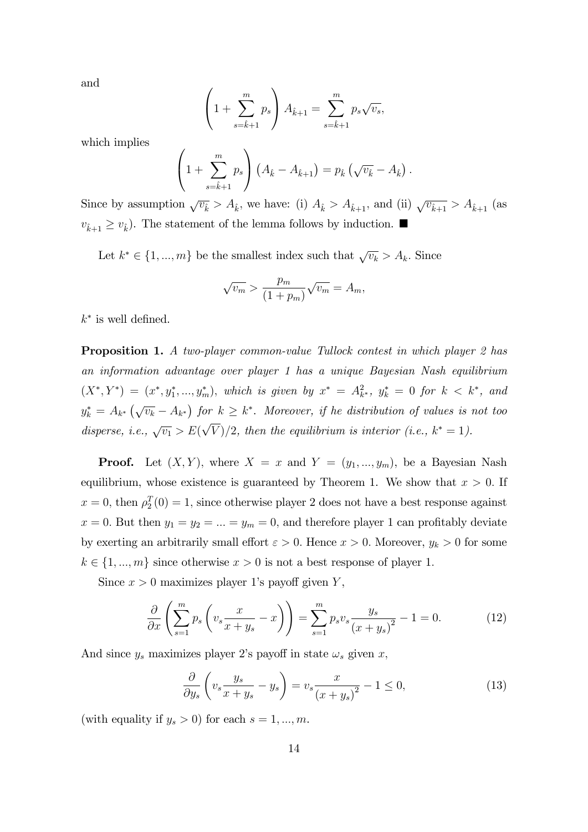and

$$
\left(1 + \sum_{s=\hat{k}+1}^{m} p_s \right) A_{\hat{k}+1} = \sum_{s=\hat{k}+1}^{m} p_s \sqrt{v_s},
$$

which implies

$$
\left(1+\sum_{s=\hat{k}+1}^{m} p_s\right) \left(A_{\hat{k}}-A_{\hat{k}+1}\right) = p_{\hat{k}} \left(\sqrt{v_{\hat{k}}}-A_{\hat{k}}\right).
$$

Since by assumption  $\sqrt{v_{\hat{k}}} > A_{\hat{k}}$ , we have: (i)  $A_{\hat{k}} > A_{\hat{k}+1}$ , and (ii)  $\sqrt{v_{\hat{k}+1}} > A_{\hat{k}+1}$  (as  $v_{k+1} \ge v_k$ ). The statement of the lemma follows by induction.

Let  $k^* \in \{1, ..., m\}$  be the smallest index such that  $\sqrt{v_k} > A_k$ . Since

$$
\sqrt{v_m} > \frac{p_m}{(1 + p_m)} \sqrt{v_m} = A_m,
$$

 $k^*$  is well defined.

**Proposition 1.** A two-player common-value Tullock contest in which player 2 has an information advantage over player 1 has a unique Bayesian Nash equilibrium  $(X^*, Y^*) = (x^*, y_1^*, ..., y_m^*),$  which is given by  $x^* = A_{k^*}^2$ ,  $y_k^* = 0$  for  $k < k^*$ , and  $y_k^* = A_{k^*}(\sqrt{v_k} - A_{k^*})$  for  $k \geq k^*$ . Moreover, if he distribution of values is not too disperse, i.e.,  $\sqrt{v_1} > E(\sqrt{V})/2$ , then the equilibrium is interior (i.e.,  $k^* = 1$ ).

**Proof.** Let  $(X, Y)$ , where  $X = x$  and  $Y = (y_1, ..., y_m)$ , be a Bayesian Nash equilibrium, whose existence is guaranteed by Theorem 1. We show that  $x > 0$ . If  $x = 0$ , then  $\rho_2^T(0) = 1$ , since otherwise player 2 does not have a best response against  $x = 0$ . But then  $y_1 = y_2 = ... = y_m = 0$ , and therefore player 1 can profitably deviate by exerting an arbitrarily small effort  $\varepsilon > 0$ . Hence  $x > 0$ . Moreover,  $y_k > 0$  for some  $k \in \{1, ..., m\}$  since otherwise  $x > 0$  is not a best response of player 1.

Since  $x > 0$  maximizes player 1's payoff given Y,

$$
\frac{\partial}{\partial x}\left(\sum_{s=1}^{m}p_s\left(v_s\frac{x}{x+y_s}-x\right)\right)=\sum_{s=1}^{m}p_sv_s\frac{y_s}{\left(x+y_s\right)^2}-1=0.\tag{12}
$$

And since  $y_s$  maximizes player 2's payoff in state  $\omega_s$  given x,

$$
\frac{\partial}{\partial y_s} \left( v_s \frac{y_s}{x + y_s} - y_s \right) = v_s \frac{x}{\left( x + y_s \right)^2} - 1 \le 0,\tag{13}
$$

(with equality if  $y_s > 0$ ) for each  $s = 1, ..., m$ .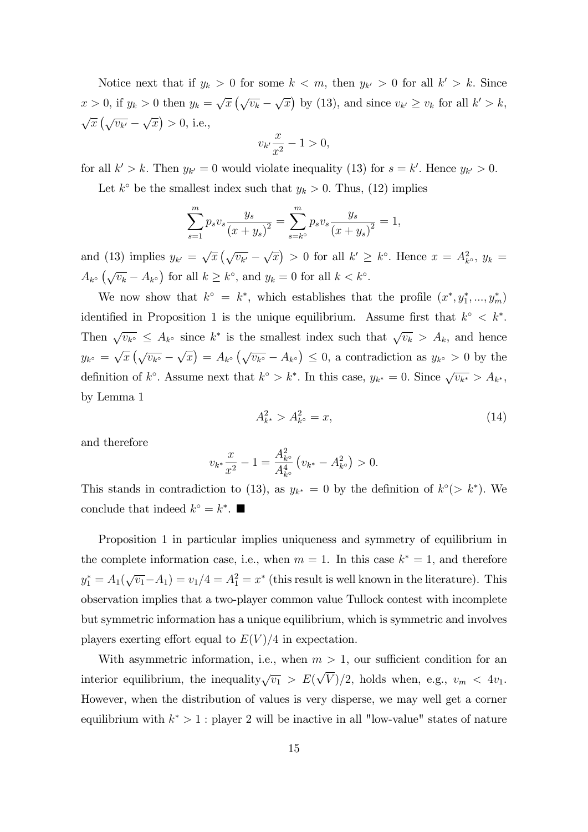Notice next that if  $y_k > 0$  for some  $k < m$ , then  $y_{k'} > 0$  for all  $k' > k$ . Since  $x > 0$ , if  $y_k > 0$  then  $y_k = \sqrt{x} (\sqrt{v_k} - \sqrt{x})$  by (13), and since  $v_{k'} \ge v_k$  for all  $k' > k$ ,  $\sqrt{x}\left(\sqrt{v_{k'}}\right)$  $\sqrt{x}$  > 0, i.e.,

$$
v_{k'}\frac{x}{x^2} - 1 > 0,
$$

for all  $k' > k$ . Then  $y_{k'} = 0$  would violate inequality (13) for  $s = k'$ . Hence  $y_{k'} > 0$ .

Let  $k^{\circ}$  be the smallest index such that  $y_k > 0$ . Thus, (12) implies

$$
\sum_{s=1}^{m} p_s v_s \frac{y_s}{(x+y_s)^2} = \sum_{s=k^{\circ}}^{m} p_s v_s \frac{y_s}{(x+y_s)^2} = 1,
$$

and (13) implies  $y_{k'} = \sqrt{x} (\sqrt{v_{k'}} \sqrt{x}$  > 0 for all  $k' \geq k^{\circ}$ . Hence  $x = A_{k^{\circ}}^2$ ,  $y_k =$  $A_{k^{\circ}}\left(\sqrt{v_k} - A_{k^{\circ}}\right)$  for all  $k \geq k^{\circ}$ , and  $y_k = 0$  for all  $k < k^{\circ}$ .

We now show that  $k^{\circ} = k^*$ , which establishes that the profile  $(x^*, y_1^*, ..., y_m^*)$ identified in Proposition 1 is the unique equilibrium. Assume first that  $k^{\circ} < k^*$ . Then  $\sqrt{v_{k}S} \leq A_{k}$  since  $k^*$  is the smallest index such that  $\sqrt{v_k} > A_k$ , and hence  $y_{k^{\circ}} = \sqrt{x} \left( \sqrt{v_{k^{\circ}}} - \right)$  $\sqrt{x}$  =  $A_{k^{\circ}} \left( \sqrt{v_{k^{\circ}}} - A_{k^{\circ}} \right) \leq 0$ , a contradiction as  $y_{k^{\circ}} > 0$  by the definition of  $k^{\circ}$ . Assume next that  $k^{\circ} > k^*$ . In this case,  $y_{k^*} = 0$ . Since  $\sqrt{v_{k^*}} > A_{k^*}$ , by Lemma 1

$$
A_{k^*}^2 > A_{k^{\circ}}^2 = x,\tag{14}
$$

and therefore

$$
v_{k^*}\frac{x}{x^2} - 1 = \frac{A_{k^{\circ}}^2}{A_{k^{\circ}}^4} \left( v_{k^*} - A_{k^{\circ}}^2 \right) > 0.
$$

This stands in contradiction to (13), as  $y_{k^*} = 0$  by the definition of  $k^{\circ}(> k^*)$ . We conclude that indeed  $k^{\circ} = k^*$ .

Proposition 1 in particular implies uniqueness and symmetry of equilibrium in the complete information case, i.e., when  $m = 1$ . In this case  $k^* = 1$ , and therefore  $y_1^* = A_1(\sqrt{v_1} - A_1) = v_1/4 = A_1^2 = x^*$  (this result is well known in the literature). This observation implies that a two-player common value Tullock contest with incomplete but symmetric information has a unique equilibrium, which is symmetric and involves players exerting effort equal to  $E(V)/4$  in expectation.

With asymmetric information, i.e., when  $m > 1$ , our sufficient condition for an interior equilibrium, the inequality  $\sqrt{v_1} > E(\sqrt{V})/2$ , holds when, e.g.,  $v_m < 4v_1$ . However, when the distribution of values is very disperse, we may well get a corner equilibrium with  $k^* > 1$ : player 2 will be inactive in all "low-value" states of nature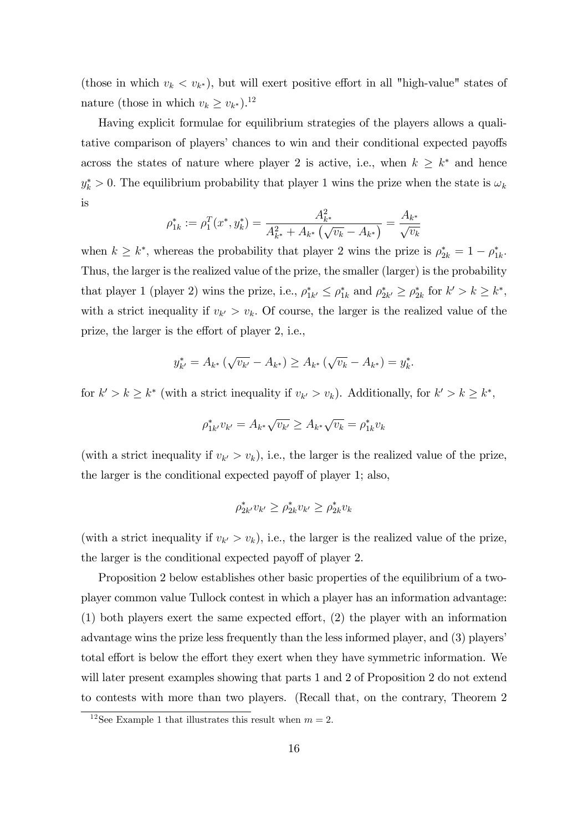(those in which  $v_k < v_{k^*}$ ), but will exert positive effort in all "high-value" states of nature (those in which  $v_k \geq v_{k^*}$ ).<sup>12</sup>

Having explicit formulae for equilibrium strategies of the players allows a qualitative comparison of players' chances to win and their conditional expected payoffs across the states of nature where player 2 is active, i.e., when  $k \geq k^*$  and hence  $y_k^* > 0$ . The equilibrium probability that player 1 wins the prize when the state is  $\omega_k$ is

$$
\rho_{1k}^* := \rho_1^T(x^*, y_k^*) = \frac{A_{k^*}^2}{A_{k^*}^2 + A_{k^*}(\sqrt{v_k} - A_{k^*})} = \frac{A_{k^*}}{\sqrt{v_k}}
$$

when  $k \geq k^*$ , whereas the probability that player 2 wins the prize is  $\rho_{2k}^* = 1 - \rho_{1k}^*$ . Thus, the larger is the realized value of the prize, the smaller (larger) is the probability that player 1 (player 2) wins the prize, i.e.,  $\rho_{1k'}^* \leq \rho_{1k}^*$  and  $\rho_{2k'}^* \geq \rho_{2k}^*$  for  $k' > k \geq k^*$ , with a strict inequality if  $v_{k'} > v_k$ . Of course, the larger is the realized value of the prize, the larger is the effort of player 2, i.e.,

$$
y_{k'}^* = A_{k^*} \left(\sqrt{v_{k'}} - A_{k^*}\right) \ge A_{k^*} \left(\sqrt{v_k} - A_{k^*}\right) = y_k^*.
$$

for  $k' > k \geq k^*$  (with a strict inequality if  $v_{k'} > v_k$ ). Additionally, for  $k' > k \geq k^*$ ,

$$
\rho_{1k'}^* v_{k'} = A_{k^*} \sqrt{v_{k'}} \ge A_{k^*} \sqrt{v_k} = \rho_{1k}^* v_k
$$

(with a strict inequality if  $v_{k'} > v_k$ ), i.e., the larger is the realized value of the prize, the larger is the conditional expected payoff of player 1; also,

$$
\rho_{2k'}^* v_{k'} \ge \rho_{2k}^* v_{k'} \ge \rho_{2k}^* v_k
$$

(with a strict inequality if  $v_{k'} > v_k$ ), i.e., the larger is the realized value of the prize, the larger is the conditional expected payoff of player 2.

Proposition 2 below establishes other basic properties of the equilibrium of a twoplayer common value Tullock contest in which a player has an information advantage:  $(1)$  both players exert the same expected effort,  $(2)$  the player with an information advantage wins the prize less frequently than the less informed player, and (3) players' total effort is below the effort they exert when they have symmetric information. We will later present examples showing that parts 1 and 2 of Proposition 2 do not extend to contests with more than two players. (Recall that, on the contrary, Theorem 2

<sup>&</sup>lt;sup>12</sup>See Example 1 that illustrates this result when  $m = 2$ .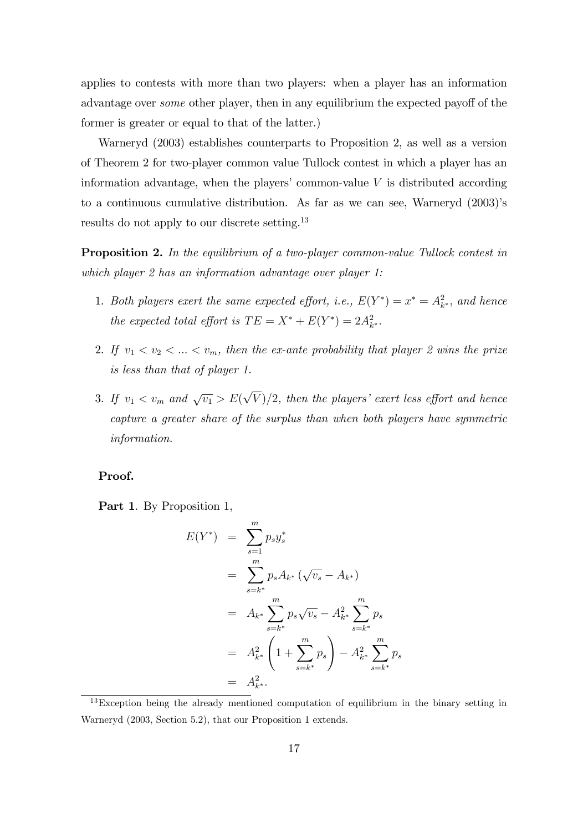applies to contests with more than two players: when a player has an information advantage over *some* other player, then in any equilibrium the expected payoff of the former is greater or equal to that of the latter.)

Warneryd (2003) establishes counterparts to Proposition 2, as well as a version of Theorem 2 for two-player common value Tullock contest in which a player has an information advantage, when the players' common-value  $V$  is distributed according to a continuous cumulative distribution. As far as we can see, Warneryd  $(2003)$ 's results do not apply to our discrete setting.<sup>13</sup>

**Proposition 2.** In the equilibrium of a two-player common-value Tullock contest in which player 2 has an information advantage over player 1:

- 1. Both players exert the same expected effort, i.e.,  $E(Y^*) = x^* = A_{k^*}^2$ , and hence the expected total effort is  $TE = X^* + E(Y^*) = 2A_{k^*}^2$ .
- 2. If  $v_1 < v_2 < ... < v_m$ , then the ex-ante probability that player 2 wins the prize is less than that of player 1.
- 3. If  $v_1 < v_m$  and  $\sqrt{v_1} > E(\sqrt{V})/2$ , then the players' exert less effort and hence capture a greater share of the surplus than when both players have symmetric information.

#### Proof.

Part 1. By Proposition 1,

$$
E(Y^*) = \sum_{s=1}^{m} p_s y_s^*
$$
  
= 
$$
\sum_{s=k^*}^{m} p_s A_{k^*} (\sqrt{v_s} - A_{k^*})
$$
  
= 
$$
A_{k^*} \sum_{s=k^*}^{m} p_s \sqrt{v_s} - A_{k^*}^2 \sum_{s=k^*}^{m} p_s
$$
  
= 
$$
A_{k^*}^2 \left(1 + \sum_{s=k^*}^{m} p_s\right) - A_{k^*}^2 \sum_{s=k^*}^{m} p_s
$$
  
= 
$$
A_{k^*}^2.
$$

<sup>13</sup>Exception being the already mentioned computation of equilibrium in the binary setting in Warneryd (2003, Section 5.2), that our Proposition 1 extends.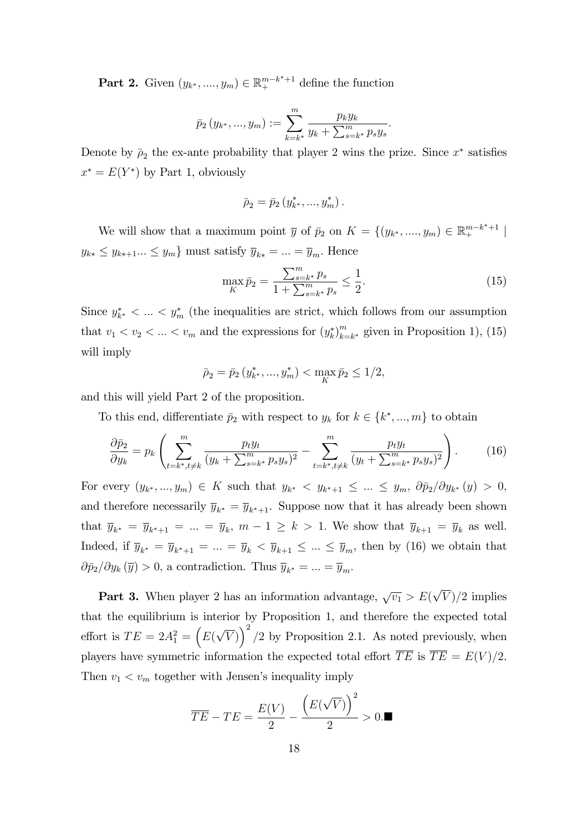**Part 2.** Given  $(y_{k^*},..., y_m) \in \mathbb{R}^{m-k^*+1}_+$  define the function

$$
\bar{p}_2(y_{k^*},..., y_m) := \sum_{k=k^*}^m \frac{p_k y_k}{y_k + \sum_{s=k^*}^m p_s y_s}.
$$

Denote by  $\bar{\rho}_2$  the ex-ante probability that player 2 wins the prize. Since  $x^*$  satisfies  $x^* = E(Y^*)$  by Part 1, obviously

$$
\bar{\rho}_2 = \bar{p}_2(y_{k^*}^*, ..., y_m^*)
$$

We will show that a maximum point  $\bar{y}$  of  $\bar{p}_2$  on  $K = \{(y_{k^*},..., y_m) \in \mathbb{R}^{m-k^*+1}_+ \mid$  $y_{k*} \leq y_{k*+1}... \leq y_m$  must satisfy  $\overline{y}_{k*} = ... = \overline{y}_m$ . Hence

$$
\max_{K} \bar{p}_2 = \frac{\sum_{s=k^*}^m p_s}{1 + \sum_{s=k^*}^m p_s} \le \frac{1}{2}.\tag{15}
$$

Since  $y_{k^*}^*$   $\lt \ldots \lt y_m^*$  (the inequalities are strict, which follows from our assumption that  $v_1 < v_2 < \ldots < v_m$  and the expressions for  $(y_k^*)_{k=1}^m$  $_{k=k^*}^m$  given in Proposition 1), (15) will imply

$$
\bar{p}_2 = \bar{p}_2(y_{k^*}^*, ..., y_m^*) < \max_K \bar{p}_2 \le 1/2,
$$

and this will yield Part 2 of the proposition.

To this end, differentiate  $\bar{p}_2$  with respect to  $y_k$  for  $k \in \{k^*, ..., m\}$  to obtain

$$
\frac{\partial \bar{p}_2}{\partial y_k} = p_k \left( \sum_{t=k^*, t \neq k}^m \frac{p_t y_t}{(y_k + \sum_{s=k^*}^m p_s y_s)^2} - \sum_{t=k^*, t \neq k}^m \frac{p_t y_t}{(y_t + \sum_{s=k^*}^m p_s y_s)^2} \right). \tag{16}
$$

For every  $(y_{k^*},..., y_m) \in K$  such that  $y_{k^*} < y_{k^*+1} \leq ... \leq y_m$ ,  $\partial \bar{p}_2 / \partial y_{k^*}(y) > 0$ , and therefore necessarily  $\overline{y}_{k^*} = \overline{y}_{k^*+1}$ . Suppose now that it has already been shown that  $\overline{y}_{k^*} = \overline{y}_{k^*+1} = ... = \overline{y}_k$ ,  $m-1 \ge k > 1$ . We show that  $\overline{y}_{k+1} = \overline{y}_k$  as well. Indeed, if  $\overline{y}_{k^*} = \overline{y}_{k^*+1} = ... = \overline{y}_k < \overline{y}_{k+1} \leq ... \leq \overline{y}_m$ , then by (16) we obtain that  $\partial \bar{p}_2 / \partial y_k (\bar{y}) > 0$ , a contradiction. Thus  $\bar{y}_{k^*} = ... = \bar{y}_m$ .

**Part 3.** When player 2 has an information advantage,  $\sqrt{v_1} > E(\sqrt{V})/2$  implies that the equilibrium is interior by Proposition 1, and therefore the expected total effort is  $TE = 2A_1^2 = (E(\sqrt{V}))^2/2$  by Proposition 2.1. As noted previously, when players have symmetric information the expected total effort  $\overline{TE}$  is  $\overline{TE} = E(V)/2$ . Then  $v_1 < v_m$  together with Jensen's inequality imply

$$
\overline{TE} - TE = \frac{E(V)}{2} - \frac{\left(E(\sqrt{V})\right)^2}{2} > 0.\blacksquare
$$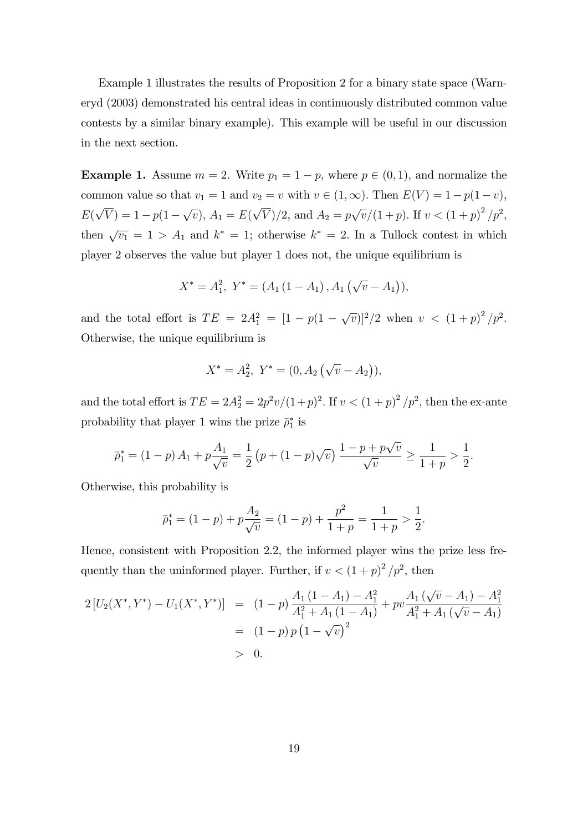Example 1 illustrates the results of Proposition 2 for a binary state space (Warneryd (2003) demonstrated his central ideas in continuously distributed common value contests by a similar binary example). This example will be useful in our discussion in the next section.

**Example 1.** Assume  $m = 2$ . Write  $p_1 = 1 - p$ , where  $p \in (0, 1)$ , and normalize the common value so that  $v_1 = 1$  and  $v_2 = v$  with  $v \in (1,\infty)$ . Then  $E(V) = 1 - p(1 - v)$ ,  $E(\sqrt{V}) = 1 - p(1 - \sqrt{v}), A_1 = E(\sqrt{V})/2$ , and  $A_2 = p\sqrt{v}/(1 + p)$ . If  $v < (1 + p)^2/p^2$ , then  $\sqrt{v_1} = 1 > A_1$  and  $k^* = 1$ ; otherwise  $k^* = 2$ . In a Tullock contest in which player 2 observes the value but player 1 does not, the unique equilibrium is

$$
X^* = A_1^2, \ Y^* = (A_1(1 - A_1), A_1(\sqrt{v} - A_1)),
$$

and the total effort is  $TE = 2A_1^2 = [1 - p(1 - \sqrt{v})]^2/2$  when  $v < (1 + p)^2/p^2$ . Otherwise, the unique equilibrium is

$$
X^* = A_2^2, \ Y^* = (0, A_2 \left(\sqrt{v} - A_2\right)),
$$

and the total effort is  $TE = 2A_2^2 = 2p^2v/(1+p)^2$ . If  $v < (1+p)^2/p^2$ , then the ex-ante probability that player 1 wins the prize  $\bar{\rho}_1^*$  is

$$
\bar{p}_1^* = (1-p) A_1 + p \frac{A_1}{\sqrt{v}} = \frac{1}{2} (p + (1-p)\sqrt{v}) \frac{1-p + p\sqrt{v}}{\sqrt{v}} \ge \frac{1}{1+p} > \frac{1}{2}
$$

:

Otherwise, this probability is

$$
\bar{p}_1^* = (1-p) + p\frac{A_2}{\sqrt{v}} = (1-p) + \frac{p^2}{1+p} = \frac{1}{1+p} > \frac{1}{2}.
$$

Hence, consistent with Proposition 2.2, the informed player wins the prize less frequently than the uninformed player. Further, if  $v < (1+p)^2/p^2$ , then

$$
2\left[U_2(X^*,Y^*) - U_1(X^*,Y^*)\right] = (1-p)\frac{A_1(1-A_1) - A_1^2}{A_1^2 + A_1(1-A_1)} + pv\frac{A_1(\sqrt{v}-A_1) - A_1^2}{A_1^2 + A_1(\sqrt{v}-A_1)}
$$
  
=  $(1-p)p(1-\sqrt{v})^2$   
> 0.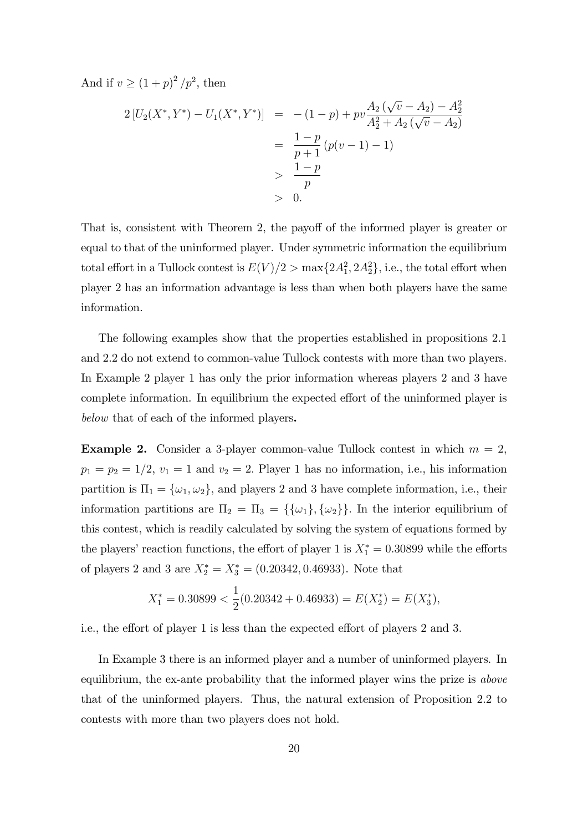And if  $v \ge (1 + p)^2 / p^2$ , then

$$
2\left[U_2(X^*,Y^*) - U_1(X^*,Y^*)\right] = -(1-p) + pv\frac{A_2(\sqrt{v} - A_2) - A_2^2}{A_2^2 + A_2(\sqrt{v} - A_2)}
$$
  
=  $\frac{1-p}{p+1}(p(v-1) - 1)$   
>  $\frac{1-p}{p}$   
> 0.

That is, consistent with Theorem 2, the payoff of the informed player is greater or equal to that of the uninformed player. Under symmetric information the equilibrium total effort in a Tullock contest is  $E(V)/2 > \max\{2A_1^2, 2A_2^2\}$ , i.e., the total effort when player 2 has an information advantage is less than when both players have the same information.

The following examples show that the properties established in propositions 2.1 and 2.2 do not extend to common-value Tullock contests with more than two players. In Example 2 player 1 has only the prior information whereas players 2 and 3 have complete information. In equilibrium the expected effort of the uninformed player is below that of each of the informed players.

**Example 2.** Consider a 3-player common-value Tullock contest in which  $m = 2$ ,  $p_1 = p_2 = 1/2, v_1 = 1$  and  $v_2 = 2$ . Player 1 has no information, i.e., his information partition is  $\Pi_1 = {\omega_1, \omega_2}$ , and players 2 and 3 have complete information, i.e., their information partitions are  $\Pi_2 = \Pi_3 = {\{\{\omega_1\}, \{\omega_2\}\}}$ . In the interior equilibrium of this contest, which is readily calculated by solving the system of equations formed by the players' reaction functions, the effort of player 1 is  $X_1^* = 0.30899$  while the efforts of players 2 and 3 are  $X_2^* = X_3^* = (0.20342, 0.46933)$ . Note that

$$
X_1^* = 0.30899 < \frac{1}{2}(0.20342 + 0.46933) = E(X_2^*) = E(X_3^*),
$$

i.e., the effort of player 1 is less than the expected effort of players 2 and 3.

In Example 3 there is an informed player and a number of uninformed players. In equilibrium, the ex-ante probability that the informed player wins the prize is above that of the uninformed players. Thus, the natural extension of Proposition 2.2 to contests with more than two players does not hold.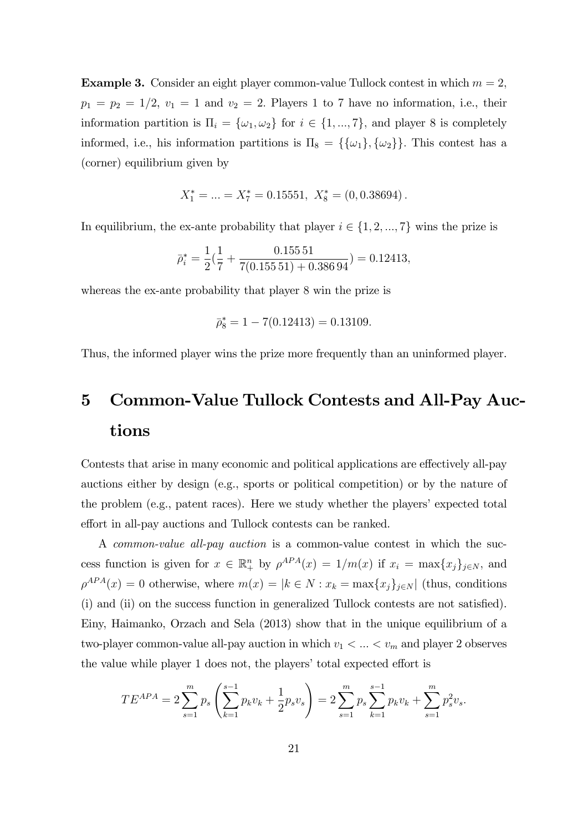**Example 3.** Consider an eight player common-value Tullock contest in which  $m = 2$ ,  $p_1 = p_2 = 1/2$ ,  $v_1 = 1$  and  $v_2 = 2$ . Players 1 to 7 have no information, i.e., their information partition is  $\Pi_i = {\omega_1, \omega_2}$  for  $i \in \{1, ..., 7\}$ , and player 8 is completely informed, i.e., his information partitions is  $\Pi_8 = {\{\{\omega_1\}, \{\omega_2\}\}}$ . This contest has a (corner) equilibrium given by

$$
X_1^* = \dots = X_7^* = 0.15551, \ X_8^* = (0, 0.38694).
$$

In equilibrium, the ex-ante probability that player  $i \in \{1, 2, ..., 7\}$  wins the prize is

$$
\bar{p}_i^* = \frac{1}{2} \left( \frac{1}{7} + \frac{0.15551}{7(0.15551) + 0.38694} \right) = 0.12413,
$$

whereas the ex-ante probability that player 8 win the prize is

$$
\bar{\rho}_8^* = 1 - 7(0.12413) = 0.13109.
$$

Thus, the informed player wins the prize more frequently than an uninformed player.

# 5 Common-Value Tullock Contests and All-Pay Auctions

Contests that arise in many economic and political applications are effectively all-pay auctions either by design (e.g., sports or political competition) or by the nature of the problem  $(e.g.,$  patent races). Here we study whether the players' expected total effort in all-pay auctions and Tullock contests can be ranked.

A common-value all-pay auction is a common-value contest in which the success function is given for  $x \in \mathbb{R}^n_+$  by  $\rho^{APA}(x) = 1/m(x)$  if  $x_i = \max\{x_j\}_{j \in N}$ , and  $\rho^{APA}(x) = 0$  otherwise, where  $m(x) = |k \in N : x_k = \max\{x_j\}_{j \in N}|$  (thus, conditions  $(i)$  and  $(ii)$  on the success function in generalized Tullock contests are not satisfied). Einy, Haimanko, Orzach and Sela (2013) show that in the unique equilibrium of a two-player common-value all-pay auction in which  $v_1 < \ldots < v_m$  and player 2 observes the value while player 1 does not, the players' total expected effort is

$$
TE^{APA} = 2\sum_{s=1}^{m} p_s \left( \sum_{k=1}^{s-1} p_k v_k + \frac{1}{2} p_s v_s \right) = 2\sum_{s=1}^{m} p_s \sum_{k=1}^{s-1} p_k v_k + \sum_{s=1}^{m} p_s^2 v_s.
$$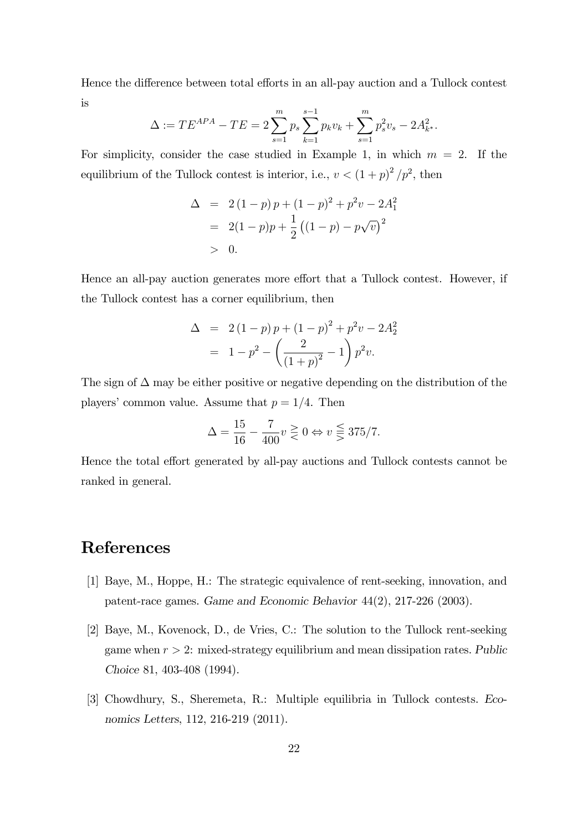Hence the difference between total efforts in an all-pay auction and a Tullock contest is

$$
\Delta := TE^{APA} - TE = 2 \sum_{s=1}^{m} p_s \sum_{k=1}^{s-1} p_k v_k + \sum_{s=1}^{m} p_s^2 v_s - 2A_{k^*}^2.
$$

For simplicity, consider the case studied in Example 1, in which  $m = 2$ . If the equilibrium of the Tullock contest is interior, i.e.,  $v < (1+p)^2/p^2$ , then

$$
\Delta = 2(1-p)p + (1-p)^2 + p^2v - 2A_1^2
$$
  
= 2(1-p)p +  $\frac{1}{2}$  ((1-p) - p $\sqrt{v}$ )<sup>2</sup>  
> 0.

Hence an all-pay auction generates more effort that a Tullock contest. However, if the Tullock contest has a corner equilibrium, then

$$
\Delta = 2(1-p)p + (1-p)^2 + p^2v - 2A_2^2
$$
  
= 1 - p<sup>2</sup> -  $\left(\frac{2}{(1+p)^2} - 1\right)p^2v$ .

The sign of  $\Delta$  may be either positive or negative depending on the distribution of the players' common value. Assume that  $p = 1/4$ . Then

$$
\Delta = \frac{15}{16} - \frac{7}{400} v \geq 0 \Leftrightarrow v \leq 375/7.
$$

Hence the total effort generated by all-pay auctions and Tullock contests cannot be ranked in general.

## References

- [1] Baye, M., Hoppe, H.: The strategic equivalence of rent-seeking, innovation, and patent-race games. Game and Economic Behavior 44(2), 217-226 (2003).
- [2] Baye, M., Kovenock, D., de Vries, C.: The solution to the Tullock rent-seeking game when  $r > 2$ : mixed-strategy equilibrium and mean dissipation rates. Public Choice 81, 403-408 (1994).
- [3] Chowdhury, S., Sheremeta, R.: Multiple equilibria in Tullock contests. Economics Letters, 112, 216-219 (2011).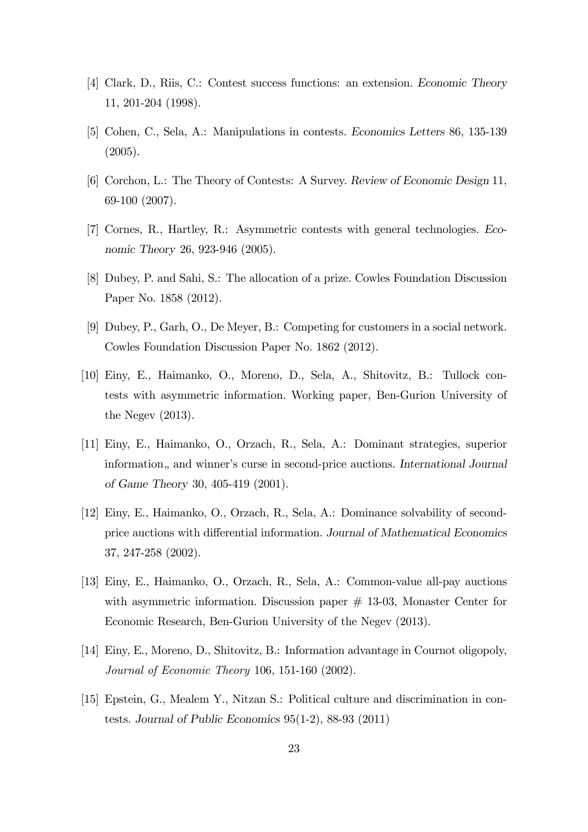- [4] Clark, D., Riis, C.: Contest success functions: an extension. Economic Theory 11, 201-204 (1998).
- [5] Cohen, C., Sela, A.: Manipulations in contests. Economics Letters 86, 135-139 (2005).
- [6] Corchon, L.: The Theory of Contests: A Survey. Review of Economic Design 11, 69-100 (2007).
- [7] Cornes, R., Hartley, R.: Asymmetric contests with general technologies. Economic Theory 26, 923-946 (2005).
- [8] Dubey, P. and Sahi, S.: The allocation of a prize. Cowles Foundation Discussion Paper No. 1858 (2012).
- [9] Dubey, P., Garh, O., De Meyer, B.: Competing for customers in a social network. Cowles Foundation Discussion Paper No. 1862 (2012).
- [10] Einy, E., Haimanko, O., Moreno, D., Sela, A., Shitovitz, B.: Tullock contests with asymmetric information. Working paper, Ben-Gurion University of the Negev (2013).
- [11] Einy, E., Haimanko, O., Orzach, R., Sela, A.: Dominant strategies, superior information, and winner's curse in second-price auctions. International Journal of Game Theory 30, 405-419 (2001).
- [12] Einy, E., Haimanko, O., Orzach, R., Sela, A.: Dominance solvability of secondprice auctions with differential information. Journal of Mathematical Economics 37, 247-258 (2002).
- [13] Einy, E., Haimanko, O., Orzach, R., Sela, A.: Common-value all-pay auctions with asymmetric information. Discussion paper  $\#$  13-03, Monaster Center for Economic Research, Ben-Gurion University of the Negev (2013).
- [14] Einy, E., Moreno, D., Shitovitz, B.: Information advantage in Cournot oligopoly, Journal of Economic Theory 106, 151-160 (2002).
- [15] Epstein, G., Mealem Y., Nitzan S.: Political culture and discrimination in contests. Journal of Public Economics 95(1-2), 88-93 (2011)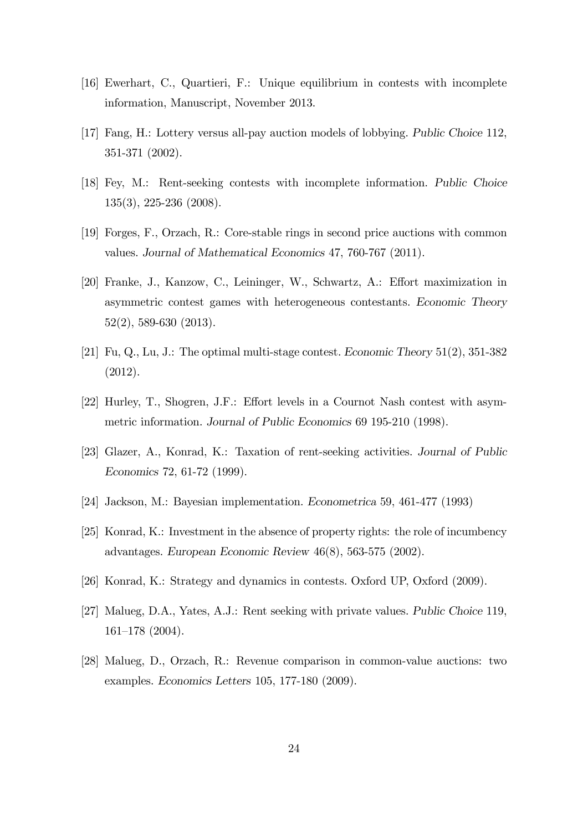- [16] Ewerhart, C., Quartieri, F.: Unique equilibrium in contests with incomplete information, Manuscript, November 2013.
- [17] Fang, H.: Lottery versus all-pay auction models of lobbying. Public Choice 112, 351-371 (2002).
- [18] Fey, M.: Rent-seeking contests with incomplete information. Public Choice 135(3), 225-236 (2008).
- [19] Forges, F., Orzach, R.: Core-stable rings in second price auctions with common values. Journal of Mathematical Economics 47, 760-767 (2011).
- [20] Franke, J., Kanzow, C., Leininger, W., Schwartz, A.: Effort maximization in asymmetric contest games with heterogeneous contestants. Economic Theory 52(2), 589-630 (2013).
- [21] Fu, Q., Lu, J.: The optimal multi-stage contest. Economic Theory 51(2), 351-382 (2012).
- [22] Hurley, T., Shogren, J.F.: Effort levels in a Cournot Nash contest with asymmetric information. Journal of Public Economics 69 195-210 (1998).
- [23] Glazer, A., Konrad, K.: Taxation of rent-seeking activities. Journal of Public Economics 72, 61-72 (1999).
- [24] Jackson, M.: Bayesian implementation. Econometrica 59, 461-477 (1993)
- [25] Konrad, K.: Investment in the absence of property rights: the role of incumbency advantages. European Economic Review 46(8), 563-575 (2002).
- [26] Konrad, K.: Strategy and dynamics in contests. Oxford UP, Oxford (2009).
- [27] Malueg, D.A., Yates, A.J.: Rent seeking with private values. Public Choice 119, 161-178 (2004).
- [28] Malueg, D., Orzach, R.: Revenue comparison in common-value auctions: two examples. Economics Letters 105, 177-180 (2009).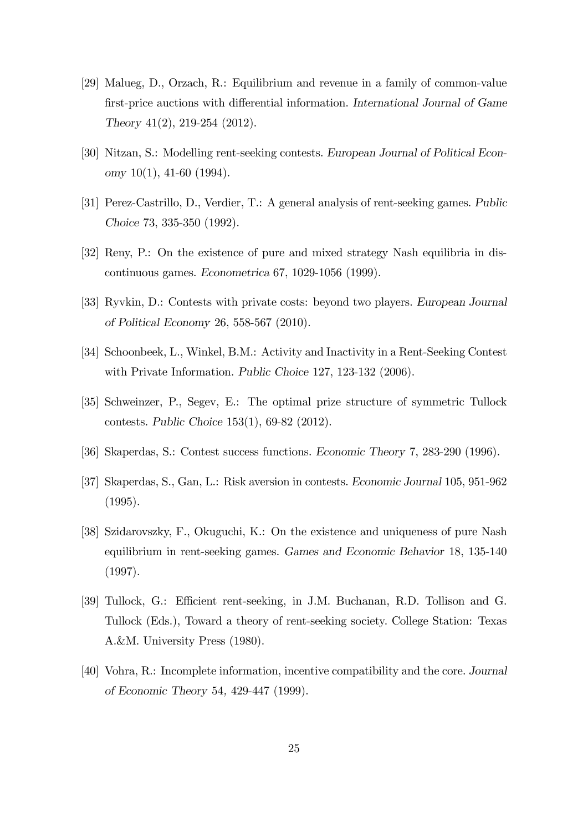- [29] Malueg, D., Orzach, R.: Equilibrium and revenue in a family of common-value first-price auctions with differential information. International Journal of Game Theory 41(2), 219-254 (2012).
- [30] Nitzan, S.: Modelling rent-seeking contests. European Journal of Political Economy  $10(1)$ ,  $41-60$  (1994).
- [31] Perez-Castrillo, D., Verdier, T.: A general analysis of rent-seeking games. Public Choice 73, 335-350 (1992).
- [32] Reny, P.: On the existence of pure and mixed strategy Nash equilibria in discontinuous games. Econometrica 67, 1029-1056 (1999).
- [33] Ryvkin, D.: Contests with private costs: beyond two players. European Journal of Political Economy 26, 558-567 (2010).
- [34] Schoonbeek, L., Winkel, B.M.: Activity and Inactivity in a Rent-Seeking Contest with Private Information. Public Choice 127, 123-132 (2006).
- [35] Schweinzer, P., Segev, E.: The optimal prize structure of symmetric Tullock contests. Public Choice 153(1), 69-82 (2012).
- [36] Skaperdas, S.: Contest success functions. Economic Theory 7, 283-290 (1996).
- [37] Skaperdas, S., Gan, L.: Risk aversion in contests. Economic Journal 105, 951-962 (1995).
- [38] Szidarovszky, F., Okuguchi, K.: On the existence and uniqueness of pure Nash equilibrium in rent-seeking games. Games and Economic Behavior 18, 135-140 (1997).
- [39] Tullock, G.: Efficient rent-seeking, in J.M. Buchanan, R.D. Tollison and G. Tullock (Eds.), Toward a theory of rent-seeking society. College Station: Texas A.&M. University Press (1980).
- [40] Vohra, R.: Incomplete information, incentive compatibility and the core. Journal of Economic Theory 54, 429-447 (1999).